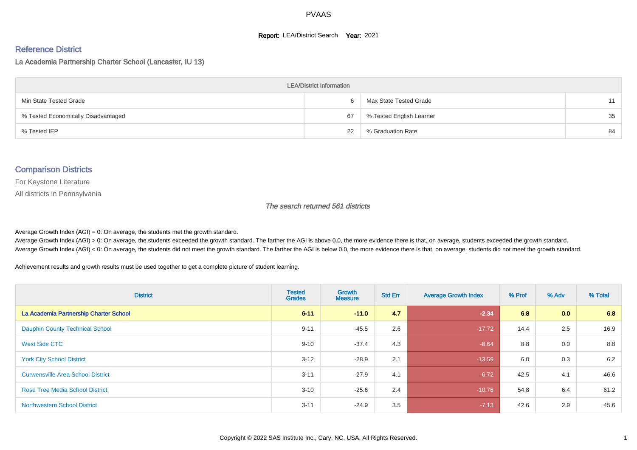#### **Report: LEA/District Search Year: 2021**

#### Reference District

La Academia Partnership Charter School (Lancaster, IU 13)

| <b>LEA/District Information</b>     |    |                          |    |  |  |  |  |  |  |  |
|-------------------------------------|----|--------------------------|----|--|--|--|--|--|--|--|
| Min State Tested Grade              | h  | Max State Tested Grade   | 11 |  |  |  |  |  |  |  |
| % Tested Economically Disadvantaged | 67 | % Tested English Learner | 35 |  |  |  |  |  |  |  |
| % Tested IEP                        | 22 | % Graduation Rate        | 84 |  |  |  |  |  |  |  |

#### Comparison Districts

For Keystone Literature

All districts in Pennsylvania

The search returned 561 districts

Average Growth Index  $(AGI) = 0$ : On average, the students met the growth standard.

Average Growth Index (AGI) > 0: On average, the students exceeded the growth standard. The farther the AGI is above 0.0, the more evidence there is that, on average, students exceeded the growth standard. Average Growth Index (AGI) < 0: On average, the students did not meet the growth standard. The farther the AGI is below 0.0, the more evidence there is that, on average, students did not meet the growth standard.

Achievement results and growth results must be used together to get a complete picture of student learning.

| <b>District</b>                          | <b>Tested</b><br><b>Grades</b> | Growth<br><b>Measure</b> | <b>Std Err</b> | <b>Average Growth Index</b> | % Prof | % Adv            | % Total |
|------------------------------------------|--------------------------------|--------------------------|----------------|-----------------------------|--------|------------------|---------|
| La Academia Partnership Charter School   | $6 - 11$                       | $-11.0$                  | 4.7            | $-2.34$                     | 6.8    | 0.0 <sub>1</sub> | 6.8     |
| <b>Dauphin County Technical School</b>   | $9 - 11$                       | $-45.5$                  | 2.6            | $-17.72$                    | 14.4   | 2.5              | 16.9    |
| West Side CTC                            | $9 - 10$                       | $-37.4$                  | 4.3            | $-8.64$                     | 8.8    | 0.0              | 8.8     |
| <b>York City School District</b>         | $3 - 12$                       | $-28.9$                  | 2.1            | $-13.59$                    | 6.0    | 0.3              | 6.2     |
| <b>Curwensville Area School District</b> | $3 - 11$                       | $-27.9$                  | 4.1            | $-6.72$                     | 42.5   | 4.1              | 46.6    |
| <b>Rose Tree Media School District</b>   | $3 - 10$                       | $-25.6$                  | 2.4            | $-10.76$                    | 54.8   | 6.4              | 61.2    |
| <b>Northwestern School District</b>      | $3 - 11$                       | $-24.9$                  | 3.5            | $-7.13$                     | 42.6   | 2.9              | 45.6    |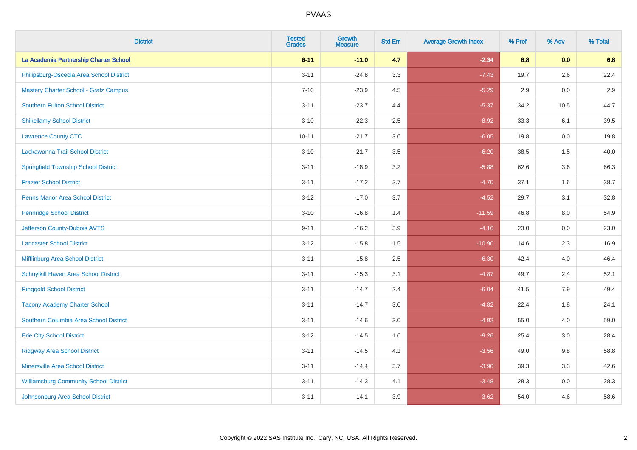| <b>District</b>                               | <b>Tested</b><br><b>Grades</b> | <b>Growth</b><br><b>Measure</b> | <b>Std Err</b> | <b>Average Growth Index</b> | % Prof | % Adv   | % Total |
|-----------------------------------------------|--------------------------------|---------------------------------|----------------|-----------------------------|--------|---------|---------|
| La Academia Partnership Charter School        | $6 - 11$                       | $-11.0$                         | 4.7            | $-2.34$                     | 6.8    | 0.0     | 6.8     |
| Philipsburg-Osceola Area School District      | $3 - 11$                       | $-24.8$                         | 3.3            | $-7.43$                     | 19.7   | $2.6\,$ | 22.4    |
| <b>Mastery Charter School - Gratz Campus</b>  | $7 - 10$                       | $-23.9$                         | 4.5            | $-5.29$                     | 2.9    | 0.0     | 2.9     |
| <b>Southern Fulton School District</b>        | $3 - 11$                       | $-23.7$                         | 4.4            | $-5.37$                     | 34.2   | 10.5    | 44.7    |
| <b>Shikellamy School District</b>             | $3 - 10$                       | $-22.3$                         | 2.5            | $-8.92$                     | 33.3   | 6.1     | 39.5    |
| <b>Lawrence County CTC</b>                    | $10 - 11$                      | $-21.7$                         | 3.6            | $-6.05$                     | 19.8   | 0.0     | 19.8    |
| Lackawanna Trail School District              | $3 - 10$                       | $-21.7$                         | 3.5            | $-6.20$                     | 38.5   | 1.5     | 40.0    |
| <b>Springfield Township School District</b>   | $3 - 11$                       | $-18.9$                         | 3.2            | $-5.88$                     | 62.6   | 3.6     | 66.3    |
| <b>Frazier School District</b>                | $3 - 11$                       | $-17.2$                         | 3.7            | $-4.70$                     | 37.1   | 1.6     | 38.7    |
| <b>Penns Manor Area School District</b>       | $3 - 12$                       | $-17.0$                         | 3.7            | $-4.52$                     | 29.7   | 3.1     | 32.8    |
| <b>Pennridge School District</b>              | $3 - 10$                       | $-16.8$                         | 1.4            | $-11.59$                    | 46.8   | 8.0     | 54.9    |
| Jefferson County-Dubois AVTS                  | $9 - 11$                       | $-16.2$                         | 3.9            | $-4.16$                     | 23.0   | 0.0     | 23.0    |
| <b>Lancaster School District</b>              | $3 - 12$                       | $-15.8$                         | $1.5$          | $-10.90$                    | 14.6   | $2.3\,$ | 16.9    |
| <b>Mifflinburg Area School District</b>       | $3 - 11$                       | $-15.8$                         | 2.5            | $-6.30$                     | 42.4   | 4.0     | 46.4    |
| Schuylkill Haven Area School District         | $3 - 11$                       | $-15.3$                         | 3.1            | $-4.87$                     | 49.7   | 2.4     | 52.1    |
| <b>Ringgold School District</b>               | $3 - 11$                       | $-14.7$                         | 2.4            | $-6.04$                     | 41.5   | 7.9     | 49.4    |
| <b>Tacony Academy Charter School</b>          | $3 - 11$                       | $-14.7$                         | 3.0            | $-4.82$                     | 22.4   | 1.8     | 24.1    |
| Southern Columbia Area School District        | $3 - 11$                       | $-14.6$                         | 3.0            | $-4.92$                     | 55.0   | 4.0     | 59.0    |
| <b>Erie City School District</b>              | $3 - 12$                       | $-14.5$                         | 1.6            | $-9.26$                     | 25.4   | 3.0     | 28.4    |
| <b>Ridgway Area School District</b>           | $3 - 11$                       | $-14.5$                         | 4.1            | $-3.56$                     | 49.0   | 9.8     | 58.8    |
| <b>Minersville Area School District</b>       | $3 - 11$                       | $-14.4$                         | 3.7            | $-3.90$                     | 39.3   | 3.3     | 42.6    |
| <b>Williamsburg Community School District</b> | $3 - 11$                       | $-14.3$                         | 4.1            | $-3.48$                     | 28.3   | 0.0     | 28.3    |
| Johnsonburg Area School District              | $3 - 11$                       | $-14.1$                         | 3.9            | $-3.62$                     | 54.0   | 4.6     | 58.6    |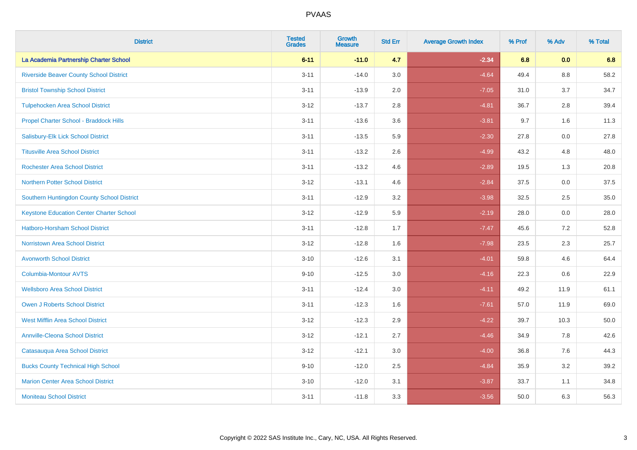| <b>District</b>                                 | <b>Tested</b><br><b>Grades</b> | <b>Growth</b><br><b>Measure</b> | <b>Std Err</b> | <b>Average Growth Index</b> | % Prof | % Adv   | % Total |
|-------------------------------------------------|--------------------------------|---------------------------------|----------------|-----------------------------|--------|---------|---------|
| La Academia Partnership Charter School          | $6 - 11$                       | $-11.0$                         | 4.7            | $-2.34$                     | 6.8    | 0.0     | 6.8     |
| <b>Riverside Beaver County School District</b>  | $3 - 11$                       | $-14.0$                         | 3.0            | $-4.64$                     | 49.4   | $8.8\,$ | 58.2    |
| <b>Bristol Township School District</b>         | $3 - 11$                       | $-13.9$                         | 2.0            | $-7.05$                     | 31.0   | 3.7     | 34.7    |
| <b>Tulpehocken Area School District</b>         | $3 - 12$                       | $-13.7$                         | 2.8            | $-4.81$                     | 36.7   | 2.8     | 39.4    |
| Propel Charter School - Braddock Hills          | $3 - 11$                       | $-13.6$                         | 3.6            | $-3.81$                     | 9.7    | 1.6     | 11.3    |
| Salisbury-Elk Lick School District              | $3 - 11$                       | $-13.5$                         | 5.9            | $-2.30$                     | 27.8   | 0.0     | 27.8    |
| <b>Titusville Area School District</b>          | $3 - 11$                       | $-13.2$                         | 2.6            | $-4.99$                     | 43.2   | 4.8     | 48.0    |
| <b>Rochester Area School District</b>           | $3 - 11$                       | $-13.2$                         | 4.6            | $-2.89$                     | 19.5   | 1.3     | 20.8    |
| <b>Northern Potter School District</b>          | $3 - 12$                       | $-13.1$                         | 4.6            | $-2.84$                     | 37.5   | 0.0     | 37.5    |
| Southern Huntingdon County School District      | $3 - 11$                       | $-12.9$                         | 3.2            | $-3.98$                     | 32.5   | $2.5\,$ | 35.0    |
| <b>Keystone Education Center Charter School</b> | $3 - 12$                       | $-12.9$                         | 5.9            | $-2.19$                     | 28.0   | 0.0     | 28.0    |
| <b>Hatboro-Horsham School District</b>          | $3 - 11$                       | $-12.8$                         | 1.7            | $-7.47$                     | 45.6   | 7.2     | 52.8    |
| <b>Norristown Area School District</b>          | $3-12$                         | $-12.8$                         | 1.6            | $-7.98$                     | 23.5   | 2.3     | 25.7    |
| <b>Avonworth School District</b>                | $3 - 10$                       | $-12.6$                         | 3.1            | $-4.01$                     | 59.8   | 4.6     | 64.4    |
| Columbia-Montour AVTS                           | $9 - 10$                       | $-12.5$                         | 3.0            | $-4.16$                     | 22.3   | 0.6     | 22.9    |
| <b>Wellsboro Area School District</b>           | $3 - 11$                       | $-12.4$                         | 3.0            | $-4.11$                     | 49.2   | 11.9    | 61.1    |
| <b>Owen J Roberts School District</b>           | $3 - 11$                       | $-12.3$                         | 1.6            | $-7.61$                     | 57.0   | 11.9    | 69.0    |
| <b>West Mifflin Area School District</b>        | $3 - 12$                       | $-12.3$                         | 2.9            | $-4.22$                     | 39.7   | 10.3    | 50.0    |
| <b>Annville-Cleona School District</b>          | $3 - 12$                       | $-12.1$                         | 2.7            | $-4.46$                     | 34.9   | 7.8     | 42.6    |
| Catasauqua Area School District                 | $3 - 12$                       | $-12.1$                         | 3.0            | $-4.00$                     | 36.8   | 7.6     | 44.3    |
| <b>Bucks County Technical High School</b>       | $9 - 10$                       | $-12.0$                         | 2.5            | $-4.84$                     | 35.9   | 3.2     | 39.2    |
| <b>Marion Center Area School District</b>       | $3 - 10$                       | $-12.0$                         | 3.1            | $-3.87$                     | 33.7   | 1.1     | 34.8    |
| <b>Moniteau School District</b>                 | $3 - 11$                       | $-11.8$                         | 3.3            | $-3.56$                     | 50.0   | 6.3     | 56.3    |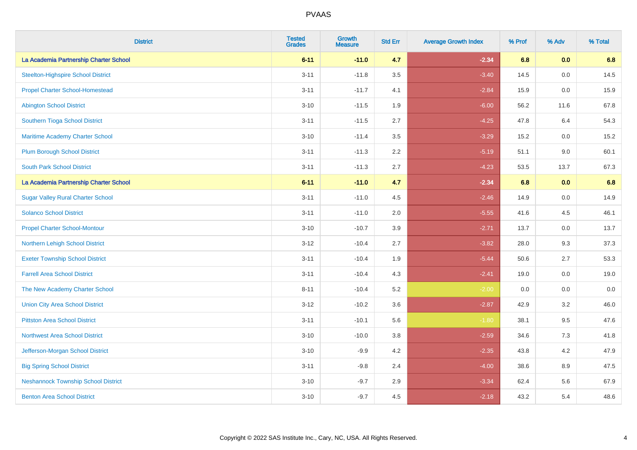| <b>District</b>                            | <b>Tested</b><br><b>Grades</b> | <b>Growth</b><br><b>Measure</b> | <b>Std Err</b> | <b>Average Growth Index</b> | % Prof | % Adv | % Total |
|--------------------------------------------|--------------------------------|---------------------------------|----------------|-----------------------------|--------|-------|---------|
| La Academia Partnership Charter School     | $6 - 11$                       | $-11.0$                         | 4.7            | $-2.34$                     | 6.8    | 0.0   | 6.8     |
| <b>Steelton-Highspire School District</b>  | $3 - 11$                       | $-11.8$                         | 3.5            | $-3.40$                     | 14.5   | 0.0   | 14.5    |
| <b>Propel Charter School-Homestead</b>     | $3 - 11$                       | $-11.7$                         | 4.1            | $-2.84$                     | 15.9   | 0.0   | 15.9    |
| <b>Abington School District</b>            | $3 - 10$                       | $-11.5$                         | 1.9            | $-6.00$                     | 56.2   | 11.6  | 67.8    |
| Southern Tioga School District             | $3 - 11$                       | $-11.5$                         | 2.7            | $-4.25$                     | 47.8   | 6.4   | 54.3    |
| <b>Maritime Academy Charter School</b>     | $3 - 10$                       | $-11.4$                         | 3.5            | $-3.29$                     | 15.2   | 0.0   | 15.2    |
| <b>Plum Borough School District</b>        | $3 - 11$                       | $-11.3$                         | 2.2            | $-5.19$                     | 51.1   | 9.0   | 60.1    |
| <b>South Park School District</b>          | $3 - 11$                       | $-11.3$                         | 2.7            | $-4.23$                     | 53.5   | 13.7  | 67.3    |
| La Academia Partnership Charter School     | $6 - 11$                       | $-11.0$                         | 4.7            | $-2.34$                     | 6.8    | 0.0   | 6.8     |
| <b>Sugar Valley Rural Charter School</b>   | $3 - 11$                       | $-11.0$                         | 4.5            | $-2.46$                     | 14.9   | 0.0   | 14.9    |
| <b>Solanco School District</b>             | $3 - 11$                       | $-11.0$                         | 2.0            | $-5.55$                     | 41.6   | 4.5   | 46.1    |
| <b>Propel Charter School-Montour</b>       | $3 - 10$                       | $-10.7$                         | 3.9            | $-2.71$                     | 13.7   | 0.0   | 13.7    |
| Northern Lehigh School District            | $3 - 12$                       | $-10.4$                         | 2.7            | $-3.82$                     | 28.0   | 9.3   | 37.3    |
| <b>Exeter Township School District</b>     | $3 - 11$                       | $-10.4$                         | 1.9            | $-5.44$                     | 50.6   | 2.7   | 53.3    |
| <b>Farrell Area School District</b>        | $3 - 11$                       | $-10.4$                         | 4.3            | $-2.41$                     | 19.0   | 0.0   | 19.0    |
| The New Academy Charter School             | $8 - 11$                       | $-10.4$                         | 5.2            | $-2.00$                     | 0.0    | 0.0   | $0.0\,$ |
| <b>Union City Area School District</b>     | $3 - 12$                       | $-10.2$                         | 3.6            | $-2.87$                     | 42.9   | 3.2   | 46.0    |
| <b>Pittston Area School District</b>       | $3 - 11$                       | $-10.1$                         | 5.6            | $-1.80$                     | 38.1   | 9.5   | 47.6    |
| <b>Northwest Area School District</b>      | $3 - 10$                       | $-10.0$                         | 3.8            | $-2.59$                     | 34.6   | $7.3$ | 41.8    |
| Jefferson-Morgan School District           | $3 - 10$                       | $-9.9$                          | 4.2            | $-2.35$                     | 43.8   | 4.2   | 47.9    |
| <b>Big Spring School District</b>          | $3 - 11$                       | $-9.8$                          | 2.4            | $-4.00$                     | 38.6   | 8.9   | 47.5    |
| <b>Neshannock Township School District</b> | $3 - 10$                       | $-9.7$                          | 2.9            | $-3.34$                     | 62.4   | 5.6   | 67.9    |
| <b>Benton Area School District</b>         | $3 - 10$                       | $-9.7$                          | 4.5            | $-2.18$                     | 43.2   | 5.4   | 48.6    |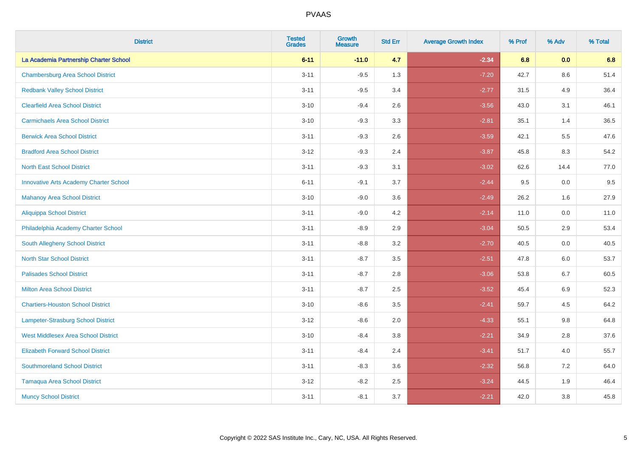| <b>District</b>                               | <b>Tested</b><br><b>Grades</b> | <b>Growth</b><br><b>Measure</b> | <b>Std Err</b> | <b>Average Growth Index</b> | % Prof | % Adv   | % Total |
|-----------------------------------------------|--------------------------------|---------------------------------|----------------|-----------------------------|--------|---------|---------|
| La Academia Partnership Charter School        | $6 - 11$                       | $-11.0$                         | 4.7            | $-2.34$                     | 6.8    | 0.0     | 6.8     |
| <b>Chambersburg Area School District</b>      | $3 - 11$                       | $-9.5$                          | 1.3            | $-7.20$                     | 42.7   | $8.6\,$ | 51.4    |
| <b>Redbank Valley School District</b>         | $3 - 11$                       | $-9.5$                          | 3.4            | $-2.77$                     | 31.5   | 4.9     | 36.4    |
| <b>Clearfield Area School District</b>        | $3 - 10$                       | $-9.4$                          | 2.6            | $-3.56$                     | 43.0   | 3.1     | 46.1    |
| <b>Carmichaels Area School District</b>       | $3 - 10$                       | $-9.3$                          | 3.3            | $-2.81$                     | 35.1   | 1.4     | 36.5    |
| <b>Berwick Area School District</b>           | $3 - 11$                       | $-9.3$                          | 2.6            | $-3.59$                     | 42.1   | 5.5     | 47.6    |
| <b>Bradford Area School District</b>          | $3 - 12$                       | $-9.3$                          | 2.4            | $-3.87$                     | 45.8   | 8.3     | 54.2    |
| <b>North East School District</b>             | $3 - 11$                       | $-9.3$                          | 3.1            | $-3.02$                     | 62.6   | 14.4    | 77.0    |
| <b>Innovative Arts Academy Charter School</b> | $6 - 11$                       | $-9.1$                          | 3.7            | $-2.44$                     | 9.5    | 0.0     | 9.5     |
| <b>Mahanoy Area School District</b>           | $3 - 10$                       | $-9.0$                          | 3.6            | $-2.49$                     | 26.2   | 1.6     | 27.9    |
| <b>Aliquippa School District</b>              | $3 - 11$                       | $-9.0$                          | 4.2            | $-2.14$                     | 11.0   | 0.0     | 11.0    |
| Philadelphia Academy Charter School           | $3 - 11$                       | $-8.9$                          | 2.9            | $-3.04$                     | 50.5   | 2.9     | 53.4    |
| <b>South Allegheny School District</b>        | $3 - 11$                       | $-8.8$                          | 3.2            | $-2.70$                     | 40.5   | 0.0     | 40.5    |
| <b>North Star School District</b>             | $3 - 11$                       | $-8.7$                          | 3.5            | $-2.51$                     | 47.8   | 6.0     | 53.7    |
| <b>Palisades School District</b>              | $3 - 11$                       | $-8.7$                          | 2.8            | $-3.06$                     | 53.8   | 6.7     | 60.5    |
| <b>Milton Area School District</b>            | $3 - 11$                       | $-8.7$                          | 2.5            | $-3.52$                     | 45.4   | 6.9     | 52.3    |
| <b>Chartiers-Houston School District</b>      | $3 - 10$                       | $-8.6$                          | 3.5            | $-2.41$                     | 59.7   | 4.5     | 64.2    |
| <b>Lampeter-Strasburg School District</b>     | $3 - 12$                       | $-8.6$                          | 2.0            | $-4.33$                     | 55.1   | 9.8     | 64.8    |
| <b>West Middlesex Area School District</b>    | $3 - 10$                       | $-8.4$                          | 3.8            | $-2.21$                     | 34.9   | 2.8     | 37.6    |
| <b>Elizabeth Forward School District</b>      | $3 - 11$                       | $-8.4$                          | 2.4            | $-3.41$                     | 51.7   | 4.0     | 55.7    |
| <b>Southmoreland School District</b>          | $3 - 11$                       | $-8.3$                          | 3.6            | $-2.32$                     | 56.8   | 7.2     | 64.0    |
| <b>Tamaqua Area School District</b>           | $3 - 12$                       | $-8.2$                          | 2.5            | $-3.24$                     | 44.5   | 1.9     | 46.4    |
| <b>Muncy School District</b>                  | $3 - 11$                       | $-8.1$                          | 3.7            | $-2.21$                     | 42.0   | 3.8     | 45.8    |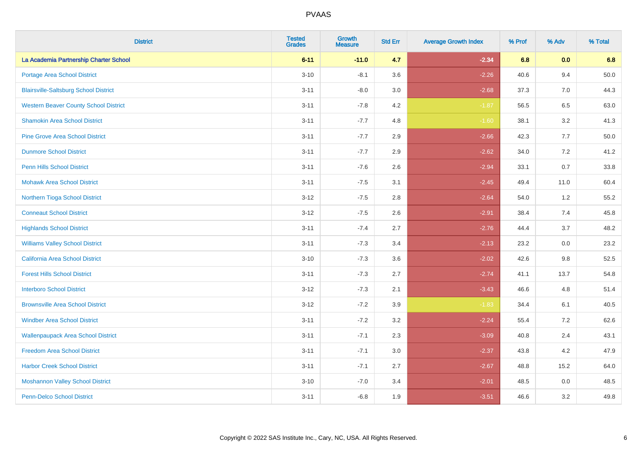| <b>District</b>                              | <b>Tested</b><br><b>Grades</b> | <b>Growth</b><br><b>Measure</b> | <b>Std Err</b> | <b>Average Growth Index</b> | % Prof | % Adv   | % Total  |
|----------------------------------------------|--------------------------------|---------------------------------|----------------|-----------------------------|--------|---------|----------|
| La Academia Partnership Charter School       | $6 - 11$                       | $-11.0$                         | 4.7            | $-2.34$                     | 6.8    | 0.0     | 6.8      |
| Portage Area School District                 | $3 - 10$                       | $-8.1$                          | 3.6            | $-2.26$                     | 40.6   | 9.4     | $50.0\,$ |
| <b>Blairsville-Saltsburg School District</b> | $3 - 11$                       | $-8.0$                          | 3.0            | $-2.68$                     | 37.3   | 7.0     | 44.3     |
| <b>Western Beaver County School District</b> | $3 - 11$                       | $-7.8$                          | 4.2            | $-1.87$                     | 56.5   | 6.5     | 63.0     |
| <b>Shamokin Area School District</b>         | $3 - 11$                       | $-7.7$                          | 4.8            | $-1.60$                     | 38.1   | 3.2     | 41.3     |
| <b>Pine Grove Area School District</b>       | $3 - 11$                       | $-7.7$                          | 2.9            | $-2.66$                     | 42.3   | 7.7     | 50.0     |
| <b>Dunmore School District</b>               | $3 - 11$                       | $-7.7$                          | 2.9            | $-2.62$                     | 34.0   | 7.2     | 41.2     |
| <b>Penn Hills School District</b>            | $3 - 11$                       | $-7.6$                          | 2.6            | $-2.94$                     | 33.1   | 0.7     | 33.8     |
| <b>Mohawk Area School District</b>           | $3 - 11$                       | $-7.5$                          | 3.1            | $-2.45$                     | 49.4   | 11.0    | 60.4     |
| Northern Tioga School District               | $3 - 12$                       | $-7.5$                          | 2.8            | $-2.64$                     | 54.0   | 1.2     | 55.2     |
| <b>Conneaut School District</b>              | $3 - 12$                       | $-7.5$                          | 2.6            | $-2.91$                     | 38.4   | 7.4     | 45.8     |
| <b>Highlands School District</b>             | $3 - 11$                       | $-7.4$                          | 2.7            | $-2.76$                     | 44.4   | 3.7     | 48.2     |
| <b>Williams Valley School District</b>       | $3 - 11$                       | $-7.3$                          | 3.4            | $-2.13$                     | 23.2   | 0.0     | 23.2     |
| California Area School District              | $3 - 10$                       | $-7.3$                          | 3.6            | $-2.02$                     | 42.6   | 9.8     | 52.5     |
| <b>Forest Hills School District</b>          | $3 - 11$                       | $-7.3$                          | 2.7            | $-2.74$                     | 41.1   | 13.7    | 54.8     |
| <b>Interboro School District</b>             | $3 - 12$                       | $-7.3$                          | 2.1            | $-3.43$                     | 46.6   | 4.8     | 51.4     |
| <b>Brownsville Area School District</b>      | $3 - 12$                       | $-7.2$                          | 3.9            | $-1.83$                     | 34.4   | 6.1     | 40.5     |
| <b>Windber Area School District</b>          | $3 - 11$                       | $-7.2$                          | 3.2            | $-2.24$                     | 55.4   | 7.2     | 62.6     |
| <b>Wallenpaupack Area School District</b>    | $3 - 11$                       | $-7.1$                          | 2.3            | $-3.09$                     | 40.8   | 2.4     | 43.1     |
| <b>Freedom Area School District</b>          | $3 - 11$                       | $-7.1$                          | 3.0            | $-2.37$                     | 43.8   | 4.2     | 47.9     |
| <b>Harbor Creek School District</b>          | $3 - 11$                       | $-7.1$                          | 2.7            | $-2.67$                     | 48.8   | 15.2    | 64.0     |
| <b>Moshannon Valley School District</b>      | $3 - 10$                       | $-7.0$                          | 3.4            | $-2.01$                     | 48.5   | $0.0\,$ | 48.5     |
| <b>Penn-Delco School District</b>            | $3 - 11$                       | $-6.8$                          | 1.9            | $-3.51$                     | 46.6   | 3.2     | 49.8     |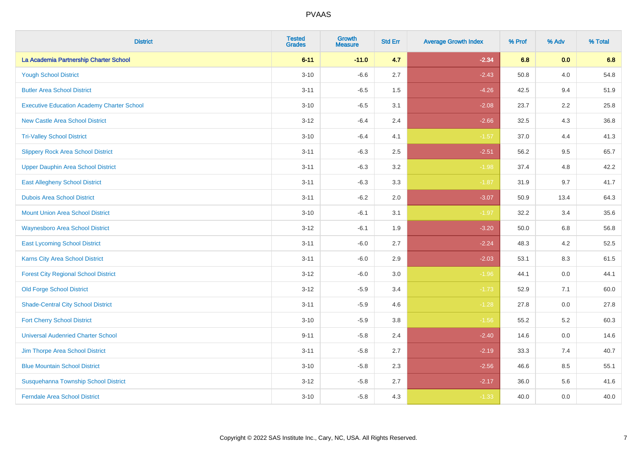| <b>District</b>                                   | <b>Tested</b><br><b>Grades</b> | <b>Growth</b><br><b>Measure</b> | <b>Std Err</b> | <b>Average Growth Index</b> | % Prof | % Adv   | % Total |
|---------------------------------------------------|--------------------------------|---------------------------------|----------------|-----------------------------|--------|---------|---------|
| La Academia Partnership Charter School            | $6 - 11$                       | $-11.0$                         | 4.7            | $-2.34$                     | 6.8    | 0.0     | 6.8     |
| <b>Yough School District</b>                      | $3 - 10$                       | $-6.6$                          | 2.7            | $-2.43$                     | 50.8   | 4.0     | 54.8    |
| <b>Butler Area School District</b>                | $3 - 11$                       | $-6.5$                          | 1.5            | $-4.26$                     | 42.5   | 9.4     | 51.9    |
| <b>Executive Education Academy Charter School</b> | $3 - 10$                       | $-6.5$                          | 3.1            | $-2.08$                     | 23.7   | 2.2     | 25.8    |
| <b>New Castle Area School District</b>            | $3 - 12$                       | $-6.4$                          | 2.4            | $-2.66$                     | 32.5   | 4.3     | 36.8    |
| <b>Tri-Valley School District</b>                 | $3 - 10$                       | $-6.4$                          | 4.1            | $-1.57$                     | 37.0   | 4.4     | 41.3    |
| <b>Slippery Rock Area School District</b>         | $3 - 11$                       | $-6.3$                          | 2.5            | $-2.51$                     | 56.2   | 9.5     | 65.7    |
| <b>Upper Dauphin Area School District</b>         | $3 - 11$                       | $-6.3$                          | 3.2            | $-1.98$                     | 37.4   | 4.8     | 42.2    |
| <b>East Allegheny School District</b>             | $3 - 11$                       | $-6.3$                          | 3.3            | $-1.87$                     | 31.9   | 9.7     | 41.7    |
| <b>Dubois Area School District</b>                | $3 - 11$                       | $-6.2$                          | 2.0            | $-3.07$                     | 50.9   | 13.4    | 64.3    |
| <b>Mount Union Area School District</b>           | $3 - 10$                       | $-6.1$                          | 3.1            | $-1.97$                     | 32.2   | 3.4     | 35.6    |
| <b>Waynesboro Area School District</b>            | $3 - 12$                       | $-6.1$                          | 1.9            | $-3.20$                     | 50.0   | 6.8     | 56.8    |
| <b>East Lycoming School District</b>              | $3 - 11$                       | $-6.0$                          | 2.7            | $-2.24$                     | 48.3   | $4.2\,$ | 52.5    |
| <b>Karns City Area School District</b>            | $3 - 11$                       | $-6.0$                          | 2.9            | $-2.03$                     | 53.1   | 8.3     | 61.5    |
| <b>Forest City Regional School District</b>       | $3 - 12$                       | $-6.0$                          | 3.0            | $-1.96$                     | 44.1   | $0.0\,$ | 44.1    |
| <b>Old Forge School District</b>                  | $3 - 12$                       | $-5.9$                          | 3.4            | $-1.73$                     | 52.9   | 7.1     | 60.0    |
| <b>Shade-Central City School District</b>         | $3 - 11$                       | $-5.9$                          | 4.6            | $-1.28$                     | 27.8   | 0.0     | 27.8    |
| <b>Fort Cherry School District</b>                | $3 - 10$                       | $-5.9$                          | 3.8            | $-1.56$                     | 55.2   | 5.2     | 60.3    |
| <b>Universal Audenried Charter School</b>         | $9 - 11$                       | $-5.8$                          | 2.4            | $-2.40$                     | 14.6   | $0.0\,$ | 14.6    |
| Jim Thorpe Area School District                   | $3 - 11$                       | $-5.8$                          | 2.7            | $-2.19$                     | 33.3   | 7.4     | 40.7    |
| <b>Blue Mountain School District</b>              | $3 - 10$                       | $-5.8$                          | 2.3            | $-2.56$                     | 46.6   | 8.5     | 55.1    |
| Susquehanna Township School District              | $3 - 12$                       | $-5.8$                          | 2.7            | $-2.17$                     | 36.0   | 5.6     | 41.6    |
| <b>Ferndale Area School District</b>              | $3 - 10$                       | $-5.8$                          | 4.3            | $-1.33$                     | 40.0   | 0.0     | 40.0    |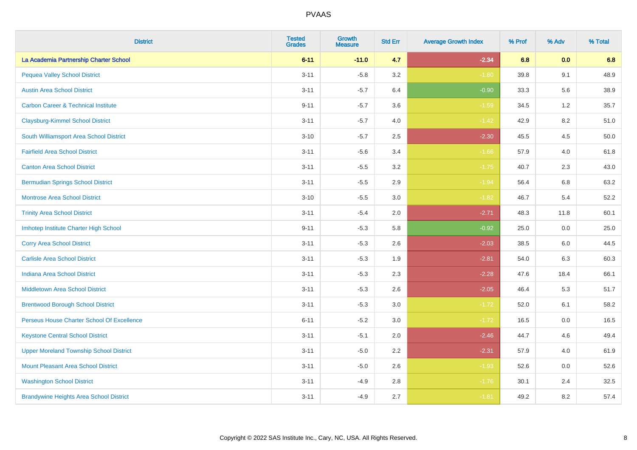| <b>District</b>                                | <b>Tested</b><br><b>Grades</b> | <b>Growth</b><br><b>Measure</b> | <b>Std Err</b> | <b>Average Growth Index</b> | % Prof | % Adv   | % Total |
|------------------------------------------------|--------------------------------|---------------------------------|----------------|-----------------------------|--------|---------|---------|
| La Academia Partnership Charter School         | $6 - 11$                       | $-11.0$                         | 4.7            | $-2.34$                     | 6.8    | 0.0     | 6.8     |
| <b>Pequea Valley School District</b>           | $3 - 11$                       | $-5.8$                          | 3.2            | $-1.80$                     | 39.8   | 9.1     | 48.9    |
| <b>Austin Area School District</b>             | $3 - 11$                       | $-5.7$                          | 6.4            | $-0.90$                     | 33.3   | 5.6     | 38.9    |
| <b>Carbon Career &amp; Technical Institute</b> | $9 - 11$                       | $-5.7$                          | 3.6            | $-1.59$                     | 34.5   | $1.2\,$ | 35.7    |
| <b>Claysburg-Kimmel School District</b>        | $3 - 11$                       | $-5.7$                          | 4.0            | $-1.42$                     | 42.9   | 8.2     | 51.0    |
| South Williamsport Area School District        | $3 - 10$                       | $-5.7$                          | 2.5            | $-2.30$                     | 45.5   | 4.5     | 50.0    |
| <b>Fairfield Area School District</b>          | $3 - 11$                       | $-5.6$                          | 3.4            | $-1.66$                     | 57.9   | 4.0     | 61.8    |
| <b>Canton Area School District</b>             | $3 - 11$                       | $-5.5$                          | 3.2            | $-1.75$                     | 40.7   | 2.3     | 43.0    |
| <b>Bermudian Springs School District</b>       | $3 - 11$                       | $-5.5$                          | 2.9            | $-1.94$                     | 56.4   | 6.8     | 63.2    |
| <b>Montrose Area School District</b>           | $3 - 10$                       | $-5.5$                          | 3.0            | $-1.82$                     | 46.7   | 5.4     | 52.2    |
| <b>Trinity Area School District</b>            | $3 - 11$                       | $-5.4$                          | 2.0            | $-2.71$                     | 48.3   | 11.8    | 60.1    |
| Imhotep Institute Charter High School          | $9 - 11$                       | $-5.3$                          | 5.8            | $-0.92$                     | 25.0   | 0.0     | 25.0    |
| <b>Corry Area School District</b>              | $3 - 11$                       | $-5.3$                          | 2.6            | $-2.03$                     | 38.5   | 6.0     | 44.5    |
| <b>Carlisle Area School District</b>           | $3 - 11$                       | $-5.3$                          | 1.9            | $-2.81$                     | 54.0   | 6.3     | 60.3    |
| <b>Indiana Area School District</b>            | $3 - 11$                       | $-5.3$                          | 2.3            | $-2.28$                     | 47.6   | 18.4    | 66.1    |
| <b>Middletown Area School District</b>         | $3 - 11$                       | $-5.3$                          | 2.6            | $-2.05$                     | 46.4   | 5.3     | 51.7    |
| <b>Brentwood Borough School District</b>       | $3 - 11$                       | $-5.3$                          | 3.0            | $-1.72$                     | 52.0   | 6.1     | 58.2    |
| Perseus House Charter School Of Excellence     | $6 - 11$                       | $-5.2$                          | 3.0            | $-1.72$                     | 16.5   | 0.0     | 16.5    |
| <b>Keystone Central School District</b>        | $3 - 11$                       | $-5.1$                          | 2.0            | $-2.46$                     | 44.7   | 4.6     | 49.4    |
| <b>Upper Moreland Township School District</b> | $3 - 11$                       | $-5.0$                          | 2.2            | $-2.31$                     | 57.9   | 4.0     | 61.9    |
| <b>Mount Pleasant Area School District</b>     | $3 - 11$                       | $-5.0$                          | 2.6            | $-1.93$                     | 52.6   | 0.0     | 52.6    |
| <b>Washington School District</b>              | $3 - 11$                       | $-4.9$                          | 2.8            | $-1.76$                     | 30.1   | 2.4     | 32.5    |
| <b>Brandywine Heights Area School District</b> | $3 - 11$                       | $-4.9$                          | 2.7            | $-1.81$                     | 49.2   | 8.2     | 57.4    |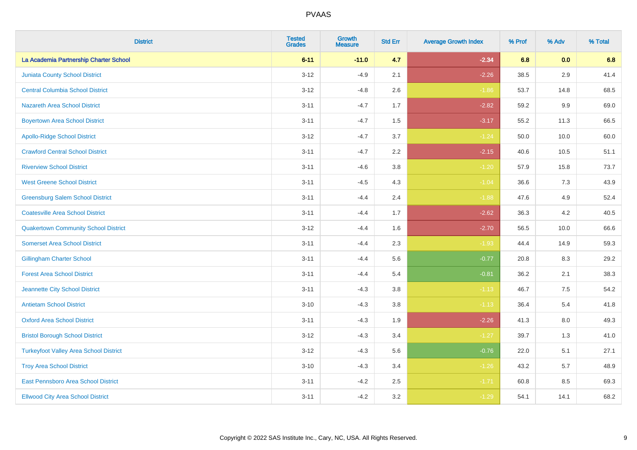| <b>District</b>                               | <b>Tested</b><br><b>Grades</b> | <b>Growth</b><br><b>Measure</b> | <b>Std Err</b> | <b>Average Growth Index</b> | % Prof | % Adv   | % Total |
|-----------------------------------------------|--------------------------------|---------------------------------|----------------|-----------------------------|--------|---------|---------|
| La Academia Partnership Charter School        | $6 - 11$                       | $-11.0$                         | 4.7            | $-2.34$                     | 6.8    | 0.0     | 6.8     |
| <b>Juniata County School District</b>         | $3 - 12$                       | $-4.9$                          | 2.1            | $-2.26$                     | 38.5   | 2.9     | 41.4    |
| <b>Central Columbia School District</b>       | $3 - 12$                       | $-4.8$                          | 2.6            | $-1.86$                     | 53.7   | 14.8    | 68.5    |
| <b>Nazareth Area School District</b>          | $3 - 11$                       | $-4.7$                          | 1.7            | $-2.82$                     | 59.2   | $9.9\,$ | 69.0    |
| <b>Boyertown Area School District</b>         | $3 - 11$                       | $-4.7$                          | 1.5            | $-3.17$                     | 55.2   | 11.3    | 66.5    |
| <b>Apollo-Ridge School District</b>           | $3 - 12$                       | $-4.7$                          | 3.7            | $-1.24$                     | 50.0   | 10.0    | 60.0    |
| <b>Crawford Central School District</b>       | $3 - 11$                       | $-4.7$                          | 2.2            | $-2.15$                     | 40.6   | 10.5    | 51.1    |
| <b>Riverview School District</b>              | $3 - 11$                       | $-4.6$                          | 3.8            | $-1.20$                     | 57.9   | 15.8    | 73.7    |
| <b>West Greene School District</b>            | $3 - 11$                       | $-4.5$                          | 4.3            | $-1.04$                     | 36.6   | 7.3     | 43.9    |
| <b>Greensburg Salem School District</b>       | $3 - 11$                       | $-4.4$                          | 2.4            | $-1.88$                     | 47.6   | 4.9     | 52.4    |
| <b>Coatesville Area School District</b>       | $3 - 11$                       | $-4.4$                          | 1.7            | $-2.62$                     | 36.3   | 4.2     | 40.5    |
| <b>Quakertown Community School District</b>   | $3 - 12$                       | $-4.4$                          | 1.6            | $-2.70$                     | 56.5   | 10.0    | 66.6    |
| <b>Somerset Area School District</b>          | $3 - 11$                       | $-4.4$                          | 2.3            | $-1.93$                     | 44.4   | 14.9    | 59.3    |
| <b>Gillingham Charter School</b>              | $3 - 11$                       | $-4.4$                          | 5.6            | $-0.77$                     | 20.8   | 8.3     | 29.2    |
| <b>Forest Area School District</b>            | $3 - 11$                       | $-4.4$                          | 5.4            | $-0.81$                     | 36.2   | 2.1     | 38.3    |
| Jeannette City School District                | $3 - 11$                       | $-4.3$                          | 3.8            | $-1.13$                     | 46.7   | $7.5\,$ | 54.2    |
| <b>Antietam School District</b>               | $3 - 10$                       | $-4.3$                          | 3.8            | $-1.13$                     | 36.4   | $5.4$   | 41.8    |
| <b>Oxford Area School District</b>            | $3 - 11$                       | $-4.3$                          | 1.9            | $-2.26$                     | 41.3   | 8.0     | 49.3    |
| <b>Bristol Borough School District</b>        | $3 - 12$                       | $-4.3$                          | 3.4            | $-1.27$                     | 39.7   | 1.3     | 41.0    |
| <b>Turkeyfoot Valley Area School District</b> | $3 - 12$                       | $-4.3$                          | 5.6            | $-0.76$                     | 22.0   | 5.1     | 27.1    |
| <b>Troy Area School District</b>              | $3 - 10$                       | $-4.3$                          | 3.4            | $-1.26$                     | 43.2   | 5.7     | 48.9    |
| East Pennsboro Area School District           | $3 - 11$                       | $-4.2$                          | 2.5            | $-1.71$                     | 60.8   | 8.5     | 69.3    |
| <b>Ellwood City Area School District</b>      | $3 - 11$                       | $-4.2$                          | 3.2            | $-1.29$                     | 54.1   | 14.1    | 68.2    |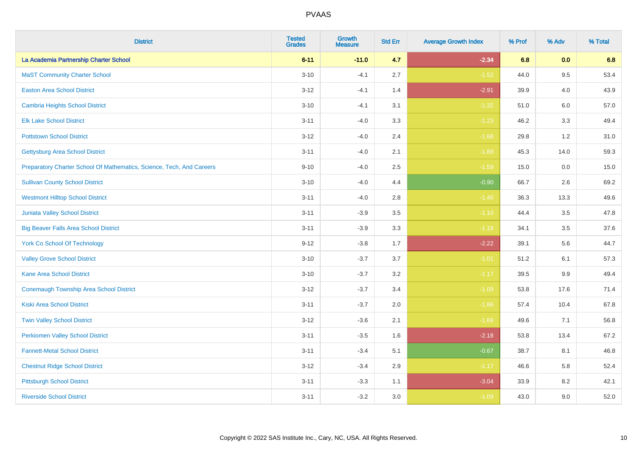| <b>District</b>                                                       | <b>Tested</b><br><b>Grades</b> | <b>Growth</b><br><b>Measure</b> | <b>Std Err</b> | <b>Average Growth Index</b> | % Prof | % Adv   | % Total |
|-----------------------------------------------------------------------|--------------------------------|---------------------------------|----------------|-----------------------------|--------|---------|---------|
| La Academia Partnership Charter School                                | $6 - 11$                       | $-11.0$                         | 4.7            | $-2.34$                     | 6.8    | 0.0     | 6.8     |
| <b>MaST Community Charter School</b>                                  | $3 - 10$                       | $-4.1$                          | 2.7            | $-1.52$                     | 44.0   | 9.5     | 53.4    |
| <b>Easton Area School District</b>                                    | $3 - 12$                       | $-4.1$                          | 1.4            | $-2.91$                     | 39.9   | 4.0     | 43.9    |
| <b>Cambria Heights School District</b>                                | $3 - 10$                       | $-4.1$                          | 3.1            | $-1.32$                     | 51.0   | $6.0\,$ | 57.0    |
| <b>Elk Lake School District</b>                                       | $3 - 11$                       | $-4.0$                          | 3.3            | $-1.23$                     | 46.2   | 3.3     | 49.4    |
| <b>Pottstown School District</b>                                      | $3 - 12$                       | $-4.0$                          | 2.4            | $-1.68$                     | 29.8   | 1.2     | 31.0    |
| <b>Gettysburg Area School District</b>                                | $3 - 11$                       | $-4.0$                          | 2.1            | $-1.89$                     | 45.3   | 14.0    | 59.3    |
| Preparatory Charter School Of Mathematics, Science, Tech, And Careers | $9 - 10$                       | $-4.0$                          | 2.5            | $-1.59$                     | 15.0   | 0.0     | 15.0    |
| <b>Sullivan County School District</b>                                | $3 - 10$                       | $-4.0$                          | 4.4            | $-0.90$                     | 66.7   | 2.6     | 69.2    |
| <b>Westmont Hilltop School District</b>                               | $3 - 11$                       | $-4.0$                          | 2.8            | $-1.40$                     | 36.3   | 13.3    | 49.6    |
| <b>Juniata Valley School District</b>                                 | $3 - 11$                       | $-3.9$                          | 3.5            | $-1.10$                     | 44.4   | 3.5     | 47.8    |
| <b>Big Beaver Falls Area School District</b>                          | $3 - 11$                       | $-3.9$                          | 3.3            | $-1.18$                     | 34.1   | 3.5     | 37.6    |
| <b>York Co School Of Technology</b>                                   | $9 - 12$                       | $-3.8$                          | 1.7            | $-2.22$                     | 39.1   | 5.6     | 44.7    |
| <b>Valley Grove School District</b>                                   | $3 - 10$                       | $-3.7$                          | 3.7            | $-1.01$                     | 51.2   | 6.1     | 57.3    |
| <b>Kane Area School District</b>                                      | $3 - 10$                       | $-3.7$                          | 3.2            | $-1.17$                     | 39.5   | 9.9     | 49.4    |
| <b>Conemaugh Township Area School District</b>                        | $3 - 12$                       | $-3.7$                          | 3.4            | $-1.09$                     | 53.8   | 17.6    | 71.4    |
| <b>Kiski Area School District</b>                                     | $3 - 11$                       | $-3.7$                          | 2.0            | $-1.86$                     | 57.4   | 10.4    | 67.8    |
| <b>Twin Valley School District</b>                                    | $3 - 12$                       | $-3.6$                          | 2.1            | $-1.69$                     | 49.6   | 7.1     | 56.8    |
| <b>Perkiomen Valley School District</b>                               | $3 - 11$                       | $-3.5$                          | 1.6            | $-2.18$                     | 53.8   | 13.4    | 67.2    |
| <b>Fannett-Metal School District</b>                                  | $3 - 11$                       | $-3.4$                          | 5.1            | $-0.67$                     | 38.7   | 8.1     | 46.8    |
| <b>Chestnut Ridge School District</b>                                 | $3 - 12$                       | $-3.4$                          | 2.9            | $-1.17$                     | 46.6   | 5.8     | 52.4    |
| <b>Pittsburgh School District</b>                                     | $3 - 11$                       | $-3.3$                          | 1.1            | $-3.04$                     | 33.9   | 8.2     | 42.1    |
| <b>Riverside School District</b>                                      | $3 - 11$                       | $-3.2$                          | 3.0            | $-1.09$                     | 43.0   | 9.0     | 52.0    |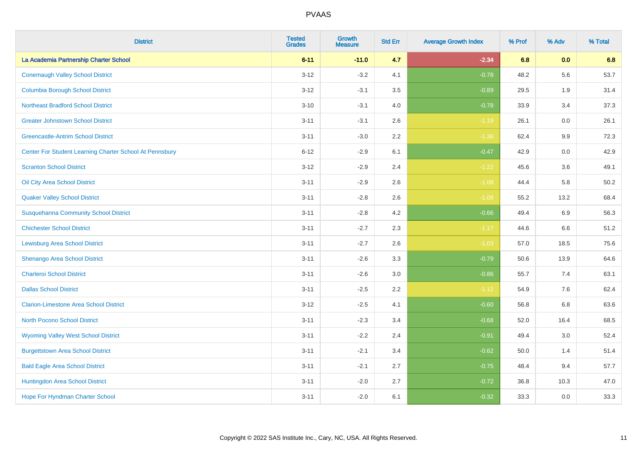| <b>District</b>                                         | <b>Tested</b><br><b>Grades</b> | <b>Growth</b><br><b>Measure</b> | <b>Std Err</b> | <b>Average Growth Index</b> | % Prof | % Adv   | % Total |
|---------------------------------------------------------|--------------------------------|---------------------------------|----------------|-----------------------------|--------|---------|---------|
| La Academia Partnership Charter School                  | $6 - 11$                       | $-11.0$                         | 4.7            | $-2.34$                     | 6.8    | 0.0     | 6.8     |
| <b>Conemaugh Valley School District</b>                 | $3 - 12$                       | $-3.2$                          | 4.1            | $-0.78$                     | 48.2   | 5.6     | 53.7    |
| <b>Columbia Borough School District</b>                 | $3 - 12$                       | $-3.1$                          | 3.5            | $-0.89$                     | 29.5   | 1.9     | 31.4    |
| <b>Northeast Bradford School District</b>               | $3 - 10$                       | $-3.1$                          | 4.0            | $-0.78$                     | 33.9   | 3.4     | 37.3    |
| <b>Greater Johnstown School District</b>                | $3 - 11$                       | $-3.1$                          | 2.6            | $-1.19$                     | 26.1   | 0.0     | 26.1    |
| <b>Greencastle-Antrim School District</b>               | $3 - 11$                       | $-3.0$                          | 2.2            | $-1.36$                     | 62.4   | $9.9\,$ | 72.3    |
| Center For Student Learning Charter School At Pennsbury | $6 - 12$                       | $-2.9$                          | 6.1            | $-0.47$                     | 42.9   | 0.0     | 42.9    |
| <b>Scranton School District</b>                         | $3 - 12$                       | $-2.9$                          | 2.4            | $-1.22$                     | 45.6   | 3.6     | 49.1    |
| Oil City Area School District                           | $3 - 11$                       | $-2.9$                          | 2.6            | $-1.08$                     | 44.4   | 5.8     | 50.2    |
| <b>Quaker Valley School District</b>                    | $3 - 11$                       | $-2.8$                          | 2.6            | $-1.08$                     | 55.2   | 13.2    | 68.4    |
| <b>Susquehanna Community School District</b>            | $3 - 11$                       | $-2.8$                          | 4.2            | $-0.66$                     | 49.4   | 6.9     | 56.3    |
| <b>Chichester School District</b>                       | $3 - 11$                       | $-2.7$                          | 2.3            | $-1.17$                     | 44.6   | 6.6     | 51.2    |
| Lewisburg Area School District                          | $3 - 11$                       | $-2.7$                          | 2.6            | $-1.03$                     | 57.0   | 18.5    | 75.6    |
| Shenango Area School District                           | $3 - 11$                       | $-2.6$                          | 3.3            | $-0.79$                     | 50.6   | 13.9    | 64.6    |
| <b>Charleroi School District</b>                        | $3 - 11$                       | $-2.6$                          | 3.0            | $-0.86$                     | 55.7   | 7.4     | 63.1    |
| <b>Dallas School District</b>                           | $3 - 11$                       | $-2.5$                          | 2.2            | $-1.12$                     | 54.9   | 7.6     | 62.4    |
| <b>Clarion-Limestone Area School District</b>           | $3 - 12$                       | $-2.5$                          | 4.1            | $-0.60$                     | 56.8   | 6.8     | 63.6    |
| <b>North Pocono School District</b>                     | $3 - 11$                       | $-2.3$                          | 3.4            | $-0.68$                     | 52.0   | 16.4    | 68.5    |
| <b>Wyoming Valley West School District</b>              | $3 - 11$                       | $-2.2$                          | 2.4            | $-0.91$                     | 49.4   | 3.0     | 52.4    |
| <b>Burgettstown Area School District</b>                | $3 - 11$                       | $-2.1$                          | 3.4            | $-0.62$                     | 50.0   | 1.4     | 51.4    |
| <b>Bald Eagle Area School District</b>                  | $3 - 11$                       | $-2.1$                          | 2.7            | $-0.75$                     | 48.4   | 9.4     | 57.7    |
| Huntingdon Area School District                         | $3 - 11$                       | $-2.0$                          | 2.7            | $-0.72$                     | 36.8   | 10.3    | 47.0    |
| Hope For Hyndman Charter School                         | $3 - 11$                       | $-2.0$                          | 6.1            | $-0.32$                     | 33.3   | 0.0     | 33.3    |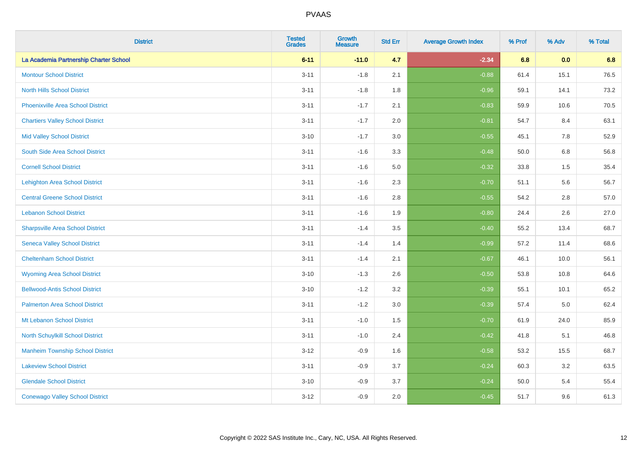| <b>District</b>                          | <b>Tested</b><br><b>Grades</b> | <b>Growth</b><br><b>Measure</b> | <b>Std Err</b> | <b>Average Growth Index</b> | % Prof | % Adv   | % Total |
|------------------------------------------|--------------------------------|---------------------------------|----------------|-----------------------------|--------|---------|---------|
| La Academia Partnership Charter School   | $6 - 11$                       | $-11.0$                         | 4.7            | $-2.34$                     | 6.8    | 0.0     | 6.8     |
| <b>Montour School District</b>           | $3 - 11$                       | $-1.8$                          | 2.1            | $-0.88$                     | 61.4   | 15.1    | 76.5    |
| <b>North Hills School District</b>       | $3 - 11$                       | $-1.8$                          | 1.8            | $-0.96$                     | 59.1   | 14.1    | 73.2    |
| <b>Phoenixville Area School District</b> | $3 - 11$                       | $-1.7$                          | 2.1            | $-0.83$                     | 59.9   | 10.6    | 70.5    |
| <b>Chartiers Valley School District</b>  | $3 - 11$                       | $-1.7$                          | 2.0            | $-0.81$                     | 54.7   | 8.4     | 63.1    |
| <b>Mid Valley School District</b>        | $3 - 10$                       | $-1.7$                          | 3.0            | $-0.55$                     | 45.1   | 7.8     | 52.9    |
| South Side Area School District          | $3 - 11$                       | $-1.6$                          | 3.3            | $-0.48$                     | 50.0   | $6.8\,$ | 56.8    |
| <b>Cornell School District</b>           | $3 - 11$                       | $-1.6$                          | 5.0            | $-0.32$                     | 33.8   | 1.5     | 35.4    |
| <b>Lehighton Area School District</b>    | $3 - 11$                       | $-1.6$                          | 2.3            | $-0.70$                     | 51.1   | 5.6     | 56.7    |
| <b>Central Greene School District</b>    | $3 - 11$                       | $-1.6$                          | 2.8            | $-0.55$                     | 54.2   | 2.8     | 57.0    |
| <b>Lebanon School District</b>           | $3 - 11$                       | $-1.6$                          | 1.9            | $-0.80$                     | 24.4   | 2.6     | 27.0    |
| <b>Sharpsville Area School District</b>  | $3 - 11$                       | $-1.4$                          | 3.5            | $-0.40$                     | 55.2   | 13.4    | 68.7    |
| <b>Seneca Valley School District</b>     | $3 - 11$                       | $-1.4$                          | 1.4            | $-0.99$                     | 57.2   | 11.4    | 68.6    |
| <b>Cheltenham School District</b>        | $3 - 11$                       | $-1.4$                          | 2.1            | $-0.67$                     | 46.1   | 10.0    | 56.1    |
| <b>Wyoming Area School District</b>      | $3 - 10$                       | $-1.3$                          | 2.6            | $-0.50$                     | 53.8   | 10.8    | 64.6    |
| <b>Bellwood-Antis School District</b>    | $3 - 10$                       | $-1.2$                          | 3.2            | $-0.39$                     | 55.1   | 10.1    | 65.2    |
| <b>Palmerton Area School District</b>    | $3 - 11$                       | $-1.2$                          | 3.0            | $-0.39$                     | 57.4   | 5.0     | 62.4    |
| Mt Lebanon School District               | $3 - 11$                       | $-1.0$                          | 1.5            | $-0.70$                     | 61.9   | 24.0    | 85.9    |
| <b>North Schuylkill School District</b>  | $3 - 11$                       | $-1.0$                          | 2.4            | $-0.42$                     | 41.8   | 5.1     | 46.8    |
| <b>Manheim Township School District</b>  | $3 - 12$                       | $-0.9$                          | 1.6            | $-0.58$                     | 53.2   | 15.5    | 68.7    |
| <b>Lakeview School District</b>          | $3 - 11$                       | $-0.9$                          | 3.7            | $-0.24$                     | 60.3   | 3.2     | 63.5    |
| <b>Glendale School District</b>          | $3 - 10$                       | $-0.9$                          | 3.7            | $-0.24$                     | 50.0   | 5.4     | 55.4    |
| <b>Conewago Valley School District</b>   | $3-12$                         | $-0.9$                          | 2.0            | $-0.45$                     | 51.7   | 9.6     | 61.3    |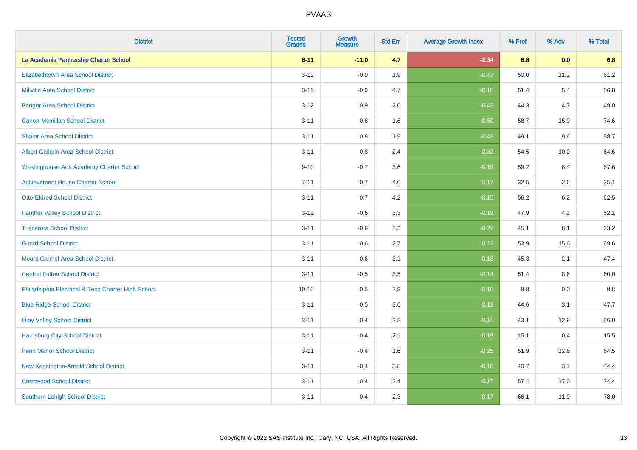| <b>District</b>                                    | <b>Tested</b><br><b>Grades</b> | Growth<br><b>Measure</b> | <b>Std Err</b> | <b>Average Growth Index</b> | % Prof | % Adv | % Total |
|----------------------------------------------------|--------------------------------|--------------------------|----------------|-----------------------------|--------|-------|---------|
| La Academia Partnership Charter School             | $6 - 11$                       | $-11.0$                  | 4.7            | $-2.34$                     | 6.8    | 0.0   | 6.8     |
| Elizabethtown Area School District                 | $3 - 12$                       | $-0.9$                   | 1.9            | $-0.47$                     | 50.0   | 11.2  | 61.2    |
| <b>Millville Area School District</b>              | $3 - 12$                       | $-0.9$                   | 4.7            | $-0.18$                     | 51.4   | 5.4   | 56.8    |
| <b>Bangor Area School District</b>                 | $3 - 12$                       | $-0.9$                   | 2.0            | $-0.43$                     | 44.3   | 4.7   | 49.0    |
| Canon-Mcmillan School District                     | $3 - 11$                       | $-0.8$                   | 1.6            | $-0.50$                     | 58.7   | 15.9  | 74.6    |
| <b>Shaler Area School District</b>                 | $3 - 11$                       | $-0.8$                   | 1.9            | $-0.43$                     | 49.1   | 9.6   | 58.7    |
| <b>Albert Gallatin Area School District</b>        | $3 - 11$                       | $-0.8$                   | 2.4            | $-0.32$                     | 54.5   | 10.0  | 64.6    |
| <b>Westinghouse Arts Academy Charter School</b>    | $9 - 10$                       | $-0.7$                   | 3.6            | $-0.19$                     | 59.2   | 8.4   | 67.6    |
| <b>Achievement House Charter School</b>            | $7 - 11$                       | $-0.7$                   | 4.0            | $-0.17$                     | 32.5   | 2.6   | 35.1    |
| <b>Otto-Eldred School District</b>                 | $3 - 11$                       | $-0.7$                   | 4.2            | $-0.15$                     | 56.2   | 6.2   | 62.5    |
| <b>Panther Valley School District</b>              | $3 - 12$                       | $-0.6$                   | 3.3            | $-0.19$                     | 47.9   | 4.3   | 52.1    |
| <b>Tuscarora School District</b>                   | $3 - 11$                       | $-0.6$                   | 2.3            | $-0.27$                     | 45.1   | 8.1   | 53.2    |
| <b>Girard School District</b>                      | $3 - 11$                       | $-0.6$                   | 2.7            | $-0.22$                     | 53.9   | 15.6  | 69.6    |
| <b>Mount Carmel Area School District</b>           | $3 - 11$                       | $-0.6$                   | 3.1            | $-0.18$                     | 45.3   | 2.1   | 47.4    |
| <b>Central Fulton School District</b>              | $3 - 11$                       | $-0.5$                   | 3.5            | $-0.14$                     | 51.4   | 8.6   | 60.0    |
| Philadelphia Electrical & Tech Charter High School | $10 - 10$                      | $-0.5$                   | 2.9            | $-0.15$                     | 8.8    | 0.0   | 8.8     |
| <b>Blue Ridge School District</b>                  | $3 - 11$                       | $-0.5$                   | 3.6            | $-0.12$                     | 44.6   | 3.1   | 47.7    |
| <b>Oley Valley School District</b>                 | $3 - 11$                       | $-0.4$                   | 2.8            | $-0.15$                     | 43.1   | 12.9  | 56.0    |
| <b>Harrisburg City School District</b>             | $3 - 11$                       | $-0.4$                   | 2.1            | $-0.19$                     | 15.1   | 0.4   | 15.5    |
| <b>Penn Manor School District</b>                  | $3 - 11$                       | $-0.4$                   | 1.6            | $-0.25$                     | 51.9   | 12.6  | 64.5    |
| New Kensington-Arnold School District              | $3 - 11$                       | $-0.4$                   | 3.8            | $-0.10$                     | 40.7   | 3.7   | 44.4    |
| <b>Crestwood School District</b>                   | $3 - 11$                       | $-0.4$                   | 2.4            | $-0.17$                     | 57.4   | 17.0  | 74.4    |
| <b>Southern Lehigh School District</b>             | $3 - 11$                       | $-0.4$                   | 2.3            | $-0.17$                     | 66.1   | 11.9  | 78.0    |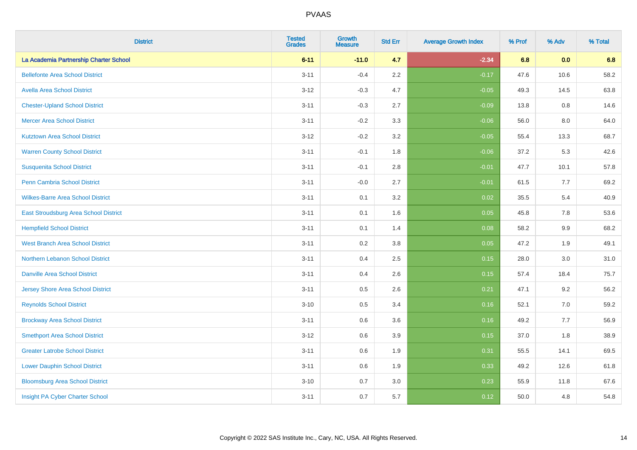| <b>District</b>                          | <b>Tested</b><br><b>Grades</b> | <b>Growth</b><br><b>Measure</b> | <b>Std Err</b> | <b>Average Growth Index</b> | % Prof | % Adv | % Total |
|------------------------------------------|--------------------------------|---------------------------------|----------------|-----------------------------|--------|-------|---------|
| La Academia Partnership Charter School   | $6 - 11$                       | $-11.0$                         | 4.7            | $-2.34$                     | 6.8    | 0.0   | 6.8     |
| <b>Bellefonte Area School District</b>   | $3 - 11$                       | $-0.4$                          | $2.2\,$        | $-0.17$                     | 47.6   | 10.6  | 58.2    |
| <b>Avella Area School District</b>       | $3 - 12$                       | $-0.3$                          | 4.7            | $-0.05$                     | 49.3   | 14.5  | 63.8    |
| <b>Chester-Upland School District</b>    | $3 - 11$                       | $-0.3$                          | 2.7            | $-0.09$                     | 13.8   | 0.8   | 14.6    |
| <b>Mercer Area School District</b>       | $3 - 11$                       | $-0.2$                          | 3.3            | $-0.06$                     | 56.0   | 8.0   | 64.0    |
| <b>Kutztown Area School District</b>     | $3 - 12$                       | $-0.2$                          | 3.2            | $-0.05$                     | 55.4   | 13.3  | 68.7    |
| <b>Warren County School District</b>     | $3 - 11$                       | $-0.1$                          | 1.8            | $-0.06$                     | 37.2   | 5.3   | 42.6    |
| <b>Susquenita School District</b>        | $3 - 11$                       | $-0.1$                          | $2.8\,$        | $-0.01$                     | 47.7   | 10.1  | 57.8    |
| Penn Cambria School District             | $3 - 11$                       | $-0.0$                          | 2.7            | $-0.01$                     | 61.5   | 7.7   | 69.2    |
| <b>Wilkes-Barre Area School District</b> | $3 - 11$                       | 0.1                             | 3.2            | 0.02                        | 35.5   | 5.4   | 40.9    |
| East Stroudsburg Area School District    | $3 - 11$                       | 0.1                             | 1.6            | 0.05                        | 45.8   | 7.8   | 53.6    |
| <b>Hempfield School District</b>         | $3 - 11$                       | 0.1                             | 1.4            | 0.08                        | 58.2   | 9.9   | 68.2    |
| <b>West Branch Area School District</b>  | $3 - 11$                       | 0.2                             | $3.8\,$        | 0.05                        | 47.2   | 1.9   | 49.1    |
| Northern Lebanon School District         | $3 - 11$                       | 0.4                             | 2.5            | 0.15                        | 28.0   | 3.0   | 31.0    |
| <b>Danville Area School District</b>     | $3 - 11$                       | 0.4                             | 2.6            | 0.15                        | 57.4   | 18.4  | 75.7    |
| <b>Jersey Shore Area School District</b> | $3 - 11$                       | 0.5                             | 2.6            | 0.21                        | 47.1   | 9.2   | 56.2    |
| <b>Reynolds School District</b>          | $3 - 10$                       | 0.5                             | 3.4            | 0.16                        | 52.1   | 7.0   | 59.2    |
| <b>Brockway Area School District</b>     | $3 - 11$                       | 0.6                             | 3.6            | 0.16                        | 49.2   | 7.7   | 56.9    |
| <b>Smethport Area School District</b>    | $3 - 12$                       | 0.6                             | 3.9            | 0.15                        | 37.0   | 1.8   | 38.9    |
| <b>Greater Latrobe School District</b>   | $3 - 11$                       | 0.6                             | 1.9            | 0.31                        | 55.5   | 14.1  | 69.5    |
| <b>Lower Dauphin School District</b>     | $3 - 11$                       | 0.6                             | 1.9            | 0.33                        | 49.2   | 12.6  | 61.8    |
| <b>Bloomsburg Area School District</b>   | $3 - 10$                       | 0.7                             | 3.0            | 0.23                        | 55.9   | 11.8  | 67.6    |
| Insight PA Cyber Charter School          | $3 - 11$                       | 0.7                             | 5.7            | 0.12                        | 50.0   | 4.8   | 54.8    |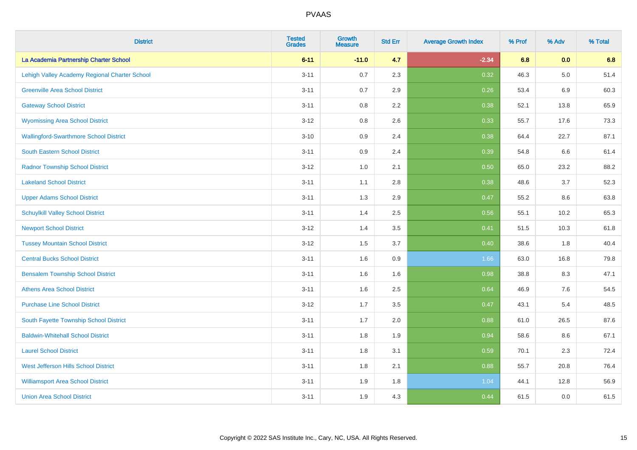| <b>District</b>                               | <b>Tested</b><br><b>Grades</b> | <b>Growth</b><br><b>Measure</b> | <b>Std Err</b> | <b>Average Growth Index</b> | % Prof | % Adv   | % Total |
|-----------------------------------------------|--------------------------------|---------------------------------|----------------|-----------------------------|--------|---------|---------|
| La Academia Partnership Charter School        | $6 - 11$                       | $-11.0$                         | 4.7            | $-2.34$                     | 6.8    | 0.0     | 6.8     |
| Lehigh Valley Academy Regional Charter School | $3 - 11$                       | 0.7                             | 2.3            | 0.32                        | 46.3   | $5.0\,$ | 51.4    |
| <b>Greenville Area School District</b>        | $3 - 11$                       | 0.7                             | 2.9            | 0.26                        | 53.4   | 6.9     | 60.3    |
| <b>Gateway School District</b>                | $3 - 11$                       | $0.8\,$                         | 2.2            | 0.38                        | 52.1   | 13.8    | 65.9    |
| <b>Wyomissing Area School District</b>        | $3 - 12$                       | 0.8                             | 2.6            | 0.33                        | 55.7   | 17.6    | 73.3    |
| <b>Wallingford-Swarthmore School District</b> | $3 - 10$                       | 0.9                             | 2.4            | 0.38                        | 64.4   | 22.7    | 87.1    |
| South Eastern School District                 | $3 - 11$                       | 0.9                             | 2.4            | 0.39                        | 54.8   | 6.6     | 61.4    |
| <b>Radnor Township School District</b>        | $3 - 12$                       | 1.0                             | 2.1            | 0.50                        | 65.0   | 23.2    | 88.2    |
| <b>Lakeland School District</b>               | $3 - 11$                       | 1.1                             | 2.8            | 0.38                        | 48.6   | 3.7     | 52.3    |
| <b>Upper Adams School District</b>            | $3 - 11$                       | 1.3                             | 2.9            | 0.47                        | 55.2   | 8.6     | 63.8    |
| <b>Schuylkill Valley School District</b>      | $3 - 11$                       | 1.4                             | 2.5            | 0.56                        | 55.1   | 10.2    | 65.3    |
| <b>Newport School District</b>                | $3 - 12$                       | 1.4                             | 3.5            | 0.41                        | 51.5   | 10.3    | 61.8    |
| <b>Tussey Mountain School District</b>        | $3 - 12$                       | 1.5                             | 3.7            | 0.40                        | 38.6   | 1.8     | 40.4    |
| <b>Central Bucks School District</b>          | $3 - 11$                       | 1.6                             | $0.9\,$        | 1.66                        | 63.0   | 16.8    | 79.8    |
| <b>Bensalem Township School District</b>      | $3 - 11$                       | 1.6                             | 1.6            | 0.98                        | 38.8   | 8.3     | 47.1    |
| <b>Athens Area School District</b>            | $3 - 11$                       | 1.6                             | 2.5            | 0.64                        | 46.9   | 7.6     | 54.5    |
| <b>Purchase Line School District</b>          | $3 - 12$                       | 1.7                             | 3.5            | 0.47                        | 43.1   | 5.4     | 48.5    |
| South Fayette Township School District        | $3 - 11$                       | 1.7                             | 2.0            | 0.88                        | 61.0   | 26.5    | 87.6    |
| <b>Baldwin-Whitehall School District</b>      | $3 - 11$                       | 1.8                             | 1.9            | 0.94                        | 58.6   | 8.6     | 67.1    |
| <b>Laurel School District</b>                 | $3 - 11$                       | 1.8                             | 3.1            | 0.59                        | 70.1   | 2.3     | 72.4    |
| <b>West Jefferson Hills School District</b>   | $3 - 11$                       | 1.8                             | 2.1            | 0.88                        | 55.7   | 20.8    | 76.4    |
| <b>Williamsport Area School District</b>      | $3 - 11$                       | 1.9                             | 1.8            | 1.04                        | 44.1   | 12.8    | 56.9    |
| <b>Union Area School District</b>             | $3 - 11$                       | 1.9                             | 4.3            | 0.44                        | 61.5   | 0.0     | 61.5    |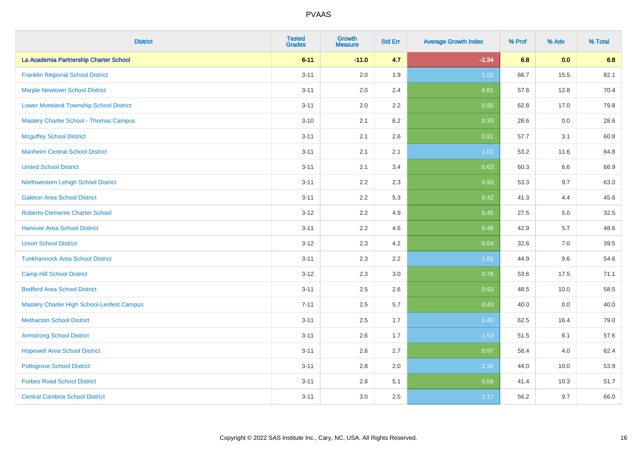| <b>District</b>                                | <b>Tested</b><br><b>Grades</b> | <b>Growth</b><br><b>Measure</b> | <b>Std Err</b> | <b>Average Growth Index</b> | % Prof | % Adv | % Total |
|------------------------------------------------|--------------------------------|---------------------------------|----------------|-----------------------------|--------|-------|---------|
| La Academia Partnership Charter School         | $6 - 11$                       | $-11.0$                         | 4.7            | $-2.34$                     | 6.8    | 0.0   | 6.8     |
| <b>Franklin Regional School District</b>       | $3 - 11$                       | 2.0                             | 1.9            | 1.02                        | 66.7   | 15.5  | 82.1    |
| <b>Marple Newtown School District</b>          | $3 - 11$                       | 2.0                             | 2.4            | 0.81                        | 57.6   | 12.8  | 70.4    |
| <b>Lower Moreland Township School District</b> | $3 - 11$                       | 2.0                             | 2.2            | 0.95                        | 62.8   | 17.0  | 79.8    |
| <b>Mastery Charter School - Thomas Campus</b>  | $3 - 10$                       | 2.1                             | 6.2            | 0.33                        | 28.6   | 0.0   | 28.6    |
| <b>Mcguffey School District</b>                | $3 - 11$                       | 2.1                             | 2.6            | 0.81                        | 57.7   | 3.1   | 60.8    |
| <b>Manheim Central School District</b>         | $3 - 11$                       | 2.1                             | 2.1            | 1.01                        | 53.2   | 11.6  | 64.8    |
| <b>United School District</b>                  | $3 - 11$                       | 2.1                             | 3.4            | 0.63                        | 60.3   | 6.6   | 66.9    |
| Northwestern Lehigh School District            | $3 - 11$                       | 2.2                             | 2.3            | 0.93                        | 53.3   | 9.7   | 63.0    |
| <b>Galeton Area School District</b>            | $3 - 11$                       | 2.2                             | 5.3            | 0.42                        | 41.3   | 4.4   | 45.6    |
| <b>Roberto Clemente Charter School</b>         | $3 - 12$                       | 2.2                             | 4.9            | 0.45                        | 27.5   | 5.0   | 32.5    |
| <b>Hanover Area School District</b>            | $3 - 11$                       | 2.2                             | 4.6            | 0.48                        | 42.9   | 5.7   | 48.6    |
| <b>Union School District</b>                   | $3 - 12$                       | 2.3                             | 4.2            | 0.54                        | 32.6   | 7.0   | 39.5    |
| <b>Tunkhannock Area School District</b>        | $3 - 11$                       | 2.3                             | 2.2            | 1.01                        | 44.9   | 9.6   | 54.6    |
| <b>Camp Hill School District</b>               | $3 - 12$                       | 2.3                             | 3.0            | 0.78                        | 53.6   | 17.5  | 71.1    |
| <b>Bedford Area School District</b>            | $3 - 11$                       | 2.5                             | 2.6            | 0.93                        | 48.5   | 10.0  | 58.5    |
| Mastery Charter High School-Lenfest Campus     | $7 - 11$                       | 2.5                             | 5.7            | 0.43                        | 40.0   | 0.0   | 40.0    |
| <b>Methacton School District</b>               | $3 - 11$                       | 2.5                             | 1.7            | 1.43                        | 62.5   | 16.4  | 79.0    |
| <b>Armstrong School District</b>               | $3 - 11$                       | 2.6                             | 1.7            | 1.53                        | 51.5   | 6.1   | 57.6    |
| <b>Hopewell Area School District</b>           | $3 - 11$                       | 2.6                             | 2.7            | 0.97                        | 58.4   | 4.0   | 62.4    |
| <b>Pottsgrove School District</b>              | $3 - 11$                       | 2.8                             | 2.0            | 1.35                        | 44.0   | 10.0  | 53.9    |
| <b>Forbes Road School District</b>             | $3 - 11$                       | 2.8                             | 5.1            | 0.56                        | 41.4   | 10.3  | 51.7    |
| <b>Central Cambria School District</b>         | $3 - 11$                       | 3.0                             | 2.5            | 1.17                        | 56.2   | 9.7   | 66.0    |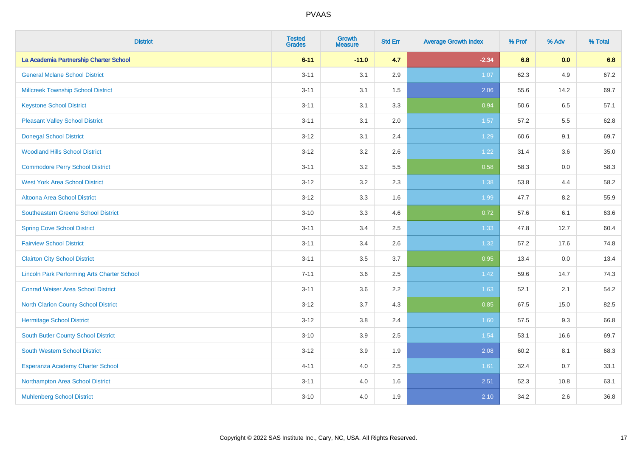| <b>District</b>                                    | <b>Tested</b><br><b>Grades</b> | <b>Growth</b><br><b>Measure</b> | <b>Std Err</b> | <b>Average Growth Index</b> | % Prof | % Adv | % Total |
|----------------------------------------------------|--------------------------------|---------------------------------|----------------|-----------------------------|--------|-------|---------|
| La Academia Partnership Charter School             | $6 - 11$                       | $-11.0$                         | 4.7            | $-2.34$                     | 6.8    | 0.0   | 6.8     |
| <b>General Mclane School District</b>              | $3 - 11$                       | 3.1                             | 2.9            | 1.07                        | 62.3   | 4.9   | 67.2    |
| <b>Millcreek Township School District</b>          | $3 - 11$                       | 3.1                             | 1.5            | 2.06                        | 55.6   | 14.2  | 69.7    |
| <b>Keystone School District</b>                    | $3 - 11$                       | 3.1                             | 3.3            | 0.94                        | 50.6   | 6.5   | 57.1    |
| <b>Pleasant Valley School District</b>             | $3 - 11$                       | 3.1                             | 2.0            | 1.57                        | 57.2   | 5.5   | 62.8    |
| <b>Donegal School District</b>                     | $3-12$                         | 3.1                             | 2.4            | 1.29                        | 60.6   | 9.1   | 69.7    |
| <b>Woodland Hills School District</b>              | $3 - 12$                       | 3.2                             | 2.6            | 1.22                        | 31.4   | 3.6   | 35.0    |
| <b>Commodore Perry School District</b>             | $3 - 11$                       | 3.2                             | 5.5            | 0.58                        | 58.3   | 0.0   | 58.3    |
| <b>West York Area School District</b>              | $3 - 12$                       | 3.2                             | 2.3            | 1.38                        | 53.8   | 4.4   | 58.2    |
| Altoona Area School District                       | $3 - 12$                       | 3.3                             | 1.6            | 1.99                        | 47.7   | 8.2   | 55.9    |
| Southeastern Greene School District                | $3 - 10$                       | 3.3                             | 4.6            | 0.72                        | 57.6   | 6.1   | 63.6    |
| <b>Spring Cove School District</b>                 | $3 - 11$                       | 3.4                             | 2.5            | 1.33                        | 47.8   | 12.7  | 60.4    |
| <b>Fairview School District</b>                    | $3 - 11$                       | 3.4                             | 2.6            | 1.32                        | 57.2   | 17.6  | 74.8    |
| <b>Clairton City School District</b>               | $3 - 11$                       | 3.5                             | 3.7            | 0.95                        | 13.4   | 0.0   | 13.4    |
| <b>Lincoln Park Performing Arts Charter School</b> | $7 - 11$                       | 3.6                             | 2.5            | 1.42                        | 59.6   | 14.7  | 74.3    |
| <b>Conrad Weiser Area School District</b>          | $3 - 11$                       | 3.6                             | 2.2            | 1.63                        | 52.1   | 2.1   | 54.2    |
| <b>North Clarion County School District</b>        | $3-12$                         | 3.7                             | 4.3            | 0.85                        | 67.5   | 15.0  | 82.5    |
| <b>Hermitage School District</b>                   | $3-12$                         | $3.8\,$                         | 2.4            | 1.60                        | 57.5   | 9.3   | 66.8    |
| South Butler County School District                | $3 - 10$                       | 3.9                             | 2.5            | 1.54                        | 53.1   | 16.6  | 69.7    |
| South Western School District                      | $3 - 12$                       | 3.9                             | 1.9            | 2.08                        | 60.2   | 8.1   | 68.3    |
| Esperanza Academy Charter School                   | $4 - 11$                       | 4.0                             | 2.5            | 1.61                        | 32.4   | 0.7   | 33.1    |
| Northampton Area School District                   | $3 - 11$                       | 4.0                             | 1.6            | 2.51                        | 52.3   | 10.8  | 63.1    |
| <b>Muhlenberg School District</b>                  | $3 - 10$                       | 4.0                             | 1.9            | 2.10                        | 34.2   | 2.6   | 36.8    |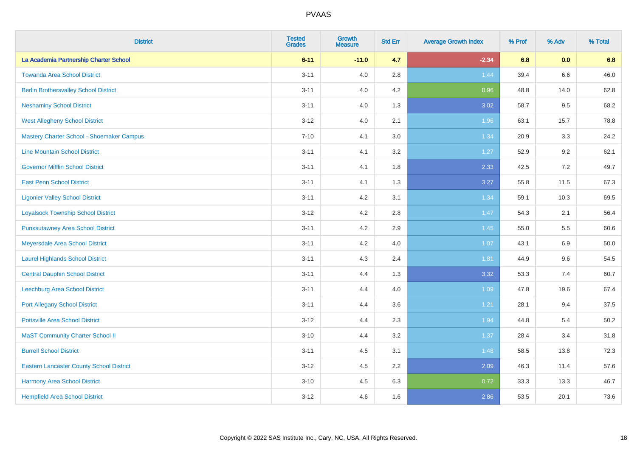| <b>District</b>                                 | <b>Tested</b><br><b>Grades</b> | Growth<br><b>Measure</b> | <b>Std Err</b> | <b>Average Growth Index</b> | % Prof | % Adv   | % Total |
|-------------------------------------------------|--------------------------------|--------------------------|----------------|-----------------------------|--------|---------|---------|
| La Academia Partnership Charter School          | $6 - 11$                       | $-11.0$                  | 4.7            | $-2.34$                     | 6.8    | 0.0     | 6.8     |
| <b>Towanda Area School District</b>             | $3 - 11$                       | 4.0                      | 2.8            | 1.44                        | 39.4   | $6.6\,$ | 46.0    |
| <b>Berlin Brothersvalley School District</b>    | $3 - 11$                       | 4.0                      | 4.2            | 0.96                        | 48.8   | 14.0    | 62.8    |
| <b>Neshaminy School District</b>                | $3 - 11$                       | 4.0                      | 1.3            | 3.02                        | 58.7   | 9.5     | 68.2    |
| <b>West Allegheny School District</b>           | $3-12$                         | 4.0                      | 2.1            | 1.96                        | 63.1   | 15.7    | 78.8    |
| Mastery Charter School - Shoemaker Campus       | $7 - 10$                       | 4.1                      | 3.0            | 1.34                        | 20.9   | 3.3     | 24.2    |
| <b>Line Mountain School District</b>            | $3 - 11$                       | 4.1                      | 3.2            | 1.27                        | 52.9   | 9.2     | 62.1    |
| <b>Governor Mifflin School District</b>         | $3 - 11$                       | 4.1                      | 1.8            | 2.33                        | 42.5   | 7.2     | 49.7    |
| <b>East Penn School District</b>                | $3 - 11$                       | 4.1                      | 1.3            | 3.27                        | 55.8   | 11.5    | 67.3    |
| <b>Ligonier Valley School District</b>          | $3 - 11$                       | 4.2                      | 3.1            | 1.34                        | 59.1   | 10.3    | 69.5    |
| <b>Loyalsock Township School District</b>       | $3 - 12$                       | 4.2                      | 2.8            | 1.47                        | 54.3   | 2.1     | 56.4    |
| <b>Punxsutawney Area School District</b>        | $3 - 11$                       | 4.2                      | 2.9            | 1.45                        | 55.0   | 5.5     | 60.6    |
| Meyersdale Area School District                 | $3 - 11$                       | 4.2                      | 4.0            | 1.07                        | 43.1   | 6.9     | 50.0    |
| <b>Laurel Highlands School District</b>         | $3 - 11$                       | 4.3                      | 2.4            | 1.81                        | 44.9   | 9.6     | 54.5    |
| <b>Central Dauphin School District</b>          | $3 - 11$                       | 4.4                      | 1.3            | 3.32                        | 53.3   | 7.4     | 60.7    |
| Leechburg Area School District                  | $3 - 11$                       | 4.4                      | 4.0            | 1.09                        | 47.8   | 19.6    | 67.4    |
| <b>Port Allegany School District</b>            | $3 - 11$                       | 4.4                      | 3.6            | 1.21                        | 28.1   | 9.4     | 37.5    |
| <b>Pottsville Area School District</b>          | $3 - 12$                       | 4.4                      | 2.3            | 1.94                        | 44.8   | 5.4     | 50.2    |
| <b>MaST Community Charter School II</b>         | $3 - 10$                       | 4.4                      | 3.2            | 1.37                        | 28.4   | 3.4     | 31.8    |
| <b>Burrell School District</b>                  | $3 - 11$                       | 4.5                      | 3.1            | 1.48                        | 58.5   | 13.8    | 72.3    |
| <b>Eastern Lancaster County School District</b> | $3 - 12$                       | 4.5                      | 2.2            | 2.09                        | 46.3   | 11.4    | 57.6    |
| Harmony Area School District                    | $3 - 10$                       | 4.5                      | 6.3            | 0.72                        | 33.3   | 13.3    | 46.7    |
| <b>Hempfield Area School District</b>           | $3 - 12$                       | 4.6                      | 1.6            | 2.86                        | 53.5   | 20.1    | 73.6    |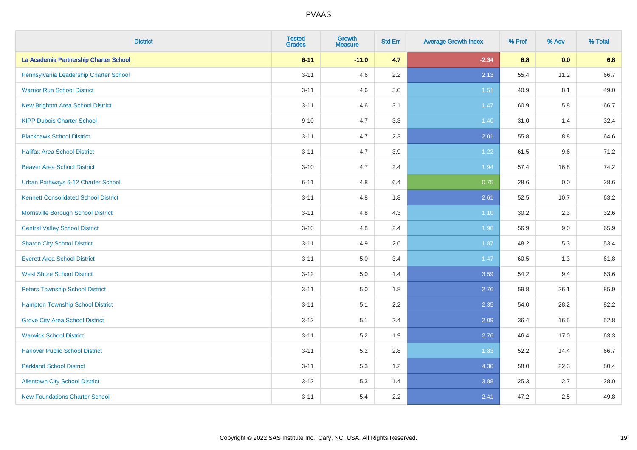| <b>District</b>                             | <b>Tested</b><br><b>Grades</b> | <b>Growth</b><br><b>Measure</b> | <b>Std Err</b> | <b>Average Growth Index</b> | % Prof | % Adv   | % Total |
|---------------------------------------------|--------------------------------|---------------------------------|----------------|-----------------------------|--------|---------|---------|
| La Academia Partnership Charter School      | $6 - 11$                       | $-11.0$                         | 4.7            | $-2.34$                     | 6.8    | 0.0     | 6.8     |
| Pennsylvania Leadership Charter School      | $3 - 11$                       | 4.6                             | 2.2            | 2.13                        | 55.4   | 11.2    | 66.7    |
| <b>Warrior Run School District</b>          | $3 - 11$                       | 4.6                             | 3.0            | 1.51                        | 40.9   | 8.1     | 49.0    |
| <b>New Brighton Area School District</b>    | $3 - 11$                       | 4.6                             | 3.1            | 1.47                        | 60.9   | 5.8     | 66.7    |
| <b>KIPP Dubois Charter School</b>           | $9 - 10$                       | 4.7                             | 3.3            | 1.40                        | 31.0   | 1.4     | 32.4    |
| <b>Blackhawk School District</b>            | $3 - 11$                       | 4.7                             | 2.3            | 2.01                        | 55.8   | $8.8\,$ | 64.6    |
| <b>Halifax Area School District</b>         | $3 - 11$                       | 4.7                             | 3.9            | 1.22                        | 61.5   | 9.6     | 71.2    |
| <b>Beaver Area School District</b>          | $3 - 10$                       | 4.7                             | 2.4            | 1.94                        | 57.4   | 16.8    | 74.2    |
| Urban Pathways 6-12 Charter School          | $6 - 11$                       | 4.8                             | 6.4            | 0.75                        | 28.6   | 0.0     | 28.6    |
| <b>Kennett Consolidated School District</b> | $3 - 11$                       | 4.8                             | 1.8            | 2.61                        | 52.5   | 10.7    | 63.2    |
| Morrisville Borough School District         | $3 - 11$                       | 4.8                             | 4.3            | $1.10$                      | 30.2   | 2.3     | 32.6    |
| <b>Central Valley School District</b>       | $3 - 10$                       | 4.8                             | 2.4            | 1.98                        | 56.9   | 9.0     | 65.9    |
| <b>Sharon City School District</b>          | $3 - 11$                       | 4.9                             | 2.6            | 1.87                        | 48.2   | 5.3     | 53.4    |
| <b>Everett Area School District</b>         | $3 - 11$                       | 5.0                             | 3.4            | 1.47                        | 60.5   | 1.3     | 61.8    |
| <b>West Shore School District</b>           | $3 - 12$                       | 5.0                             | 1.4            | 3.59                        | 54.2   | 9.4     | 63.6    |
| <b>Peters Township School District</b>      | $3 - 11$                       | 5.0                             | 1.8            | 2.76                        | 59.8   | 26.1    | 85.9    |
| <b>Hampton Township School District</b>     | $3 - 11$                       | 5.1                             | 2.2            | 2.35                        | 54.0   | 28.2    | 82.2    |
| <b>Grove City Area School District</b>      | $3 - 12$                       | 5.1                             | 2.4            | 2.09                        | 36.4   | 16.5    | 52.8    |
| <b>Warwick School District</b>              | $3 - 11$                       | 5.2                             | 1.9            | 2.76                        | 46.4   | 17.0    | 63.3    |
| <b>Hanover Public School District</b>       | $3 - 11$                       | 5.2                             | 2.8            | 1.83                        | 52.2   | 14.4    | 66.7    |
| <b>Parkland School District</b>             | $3 - 11$                       | 5.3                             | 1.2            | 4.30                        | 58.0   | 22.3    | 80.4    |
| <b>Allentown City School District</b>       | $3 - 12$                       | 5.3                             | 1.4            | 3.88                        | 25.3   | 2.7     | 28.0    |
| <b>New Foundations Charter School</b>       | $3 - 11$                       | 5.4                             | 2.2            | 2.41                        | 47.2   | 2.5     | 49.8    |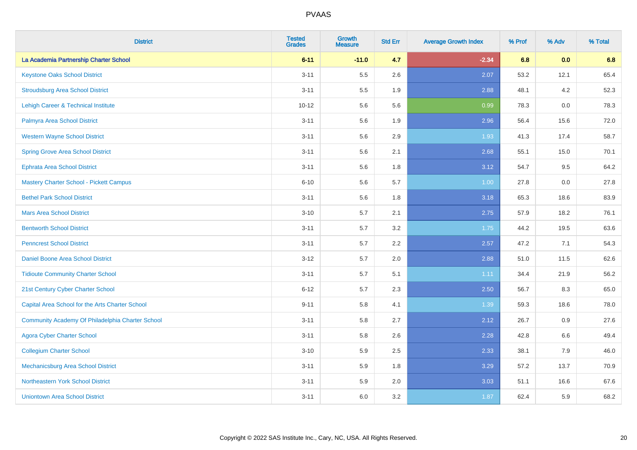| <b>District</b>                                  | <b>Tested</b><br><b>Grades</b> | <b>Growth</b><br><b>Measure</b> | <b>Std Err</b> | <b>Average Growth Index</b> | % Prof | % Adv | % Total |
|--------------------------------------------------|--------------------------------|---------------------------------|----------------|-----------------------------|--------|-------|---------|
| La Academia Partnership Charter School           | $6 - 11$                       | $-11.0$                         | 4.7            | $-2.34$                     | 6.8    | 0.0   | 6.8     |
| <b>Keystone Oaks School District</b>             | $3 - 11$                       | 5.5                             | 2.6            | 2.07                        | 53.2   | 12.1  | 65.4    |
| <b>Stroudsburg Area School District</b>          | $3 - 11$                       | 5.5                             | 1.9            | 2.88                        | 48.1   | 4.2   | 52.3    |
| Lehigh Career & Technical Institute              | $10 - 12$                      | 5.6                             | 5.6            | 0.99                        | 78.3   | 0.0   | 78.3    |
| Palmyra Area School District                     | $3 - 11$                       | 5.6                             | 1.9            | 2.96                        | 56.4   | 15.6  | 72.0    |
| <b>Western Wayne School District</b>             | $3 - 11$                       | 5.6                             | 2.9            | 1.93                        | 41.3   | 17.4  | 58.7    |
| <b>Spring Grove Area School District</b>         | $3 - 11$                       | 5.6                             | 2.1            | 2.68                        | 55.1   | 15.0  | 70.1    |
| <b>Ephrata Area School District</b>              | $3 - 11$                       | 5.6                             | 1.8            | 3.12                        | 54.7   | 9.5   | 64.2    |
| <b>Mastery Charter School - Pickett Campus</b>   | $6 - 10$                       | 5.6                             | 5.7            | 1.00                        | 27.8   | 0.0   | 27.8    |
| <b>Bethel Park School District</b>               | $3 - 11$                       | 5.6                             | 1.8            | 3.18                        | 65.3   | 18.6  | 83.9    |
| <b>Mars Area School District</b>                 | $3 - 10$                       | 5.7                             | 2.1            | 2.75                        | 57.9   | 18.2  | 76.1    |
| <b>Bentworth School District</b>                 | $3 - 11$                       | 5.7                             | 3.2            | 1.75                        | 44.2   | 19.5  | 63.6    |
| <b>Penncrest School District</b>                 | $3 - 11$                       | 5.7                             | 2.2            | 2.57                        | 47.2   | 7.1   | 54.3    |
| Daniel Boone Area School District                | $3 - 12$                       | 5.7                             | 2.0            | 2.88                        | 51.0   | 11.5  | 62.6    |
| <b>Tidioute Community Charter School</b>         | $3 - 11$                       | 5.7                             | 5.1            | 1.11                        | 34.4   | 21.9  | 56.2    |
| 21st Century Cyber Charter School                | $6 - 12$                       | 5.7                             | 2.3            | 2.50                        | 56.7   | 8.3   | 65.0    |
| Capital Area School for the Arts Charter School  | $9 - 11$                       | 5.8                             | 4.1            | 1.39                        | 59.3   | 18.6  | 78.0    |
| Community Academy Of Philadelphia Charter School | $3 - 11$                       | 5.8                             | 2.7            | 2.12                        | 26.7   | 0.9   | 27.6    |
| <b>Agora Cyber Charter School</b>                | $3 - 11$                       | 5.8                             | 2.6            | 2.28                        | 42.8   | 6.6   | 49.4    |
| <b>Collegium Charter School</b>                  | $3 - 10$                       | 5.9                             | 2.5            | 2.33                        | 38.1   | 7.9   | 46.0    |
| <b>Mechanicsburg Area School District</b>        | $3 - 11$                       | 5.9                             | 1.8            | 3.29                        | 57.2   | 13.7  | 70.9    |
| Northeastern York School District                | $3 - 11$                       | 5.9                             | 2.0            | 3.03                        | 51.1   | 16.6  | 67.6    |
| <b>Uniontown Area School District</b>            | $3 - 11$                       | 6.0                             | 3.2            | 1.87                        | 62.4   | 5.9   | 68.2    |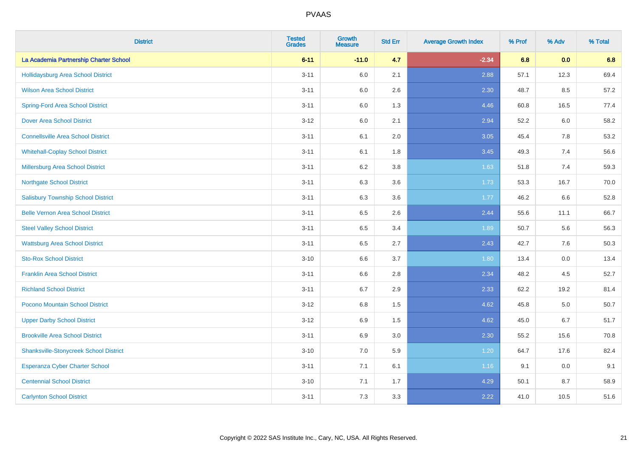| <b>District</b>                               | <b>Tested</b><br><b>Grades</b> | <b>Growth</b><br><b>Measure</b> | <b>Std Err</b> | <b>Average Growth Index</b> | % Prof | % Adv | % Total |
|-----------------------------------------------|--------------------------------|---------------------------------|----------------|-----------------------------|--------|-------|---------|
| La Academia Partnership Charter School        | $6 - 11$                       | $-11.0$                         | 4.7            | $-2.34$                     | 6.8    | 0.0   | 6.8     |
| <b>Hollidaysburg Area School District</b>     | $3 - 11$                       | 6.0                             | 2.1            | 2.88                        | 57.1   | 12.3  | 69.4    |
| <b>Wilson Area School District</b>            | $3 - 11$                       | 6.0                             | 2.6            | 2.30                        | 48.7   | 8.5   | 57.2    |
| <b>Spring-Ford Area School District</b>       | $3 - 11$                       | 6.0                             | 1.3            | 4.46                        | 60.8   | 16.5  | 77.4    |
| <b>Dover Area School District</b>             | $3 - 12$                       | 6.0                             | 2.1            | 2.94                        | 52.2   | 6.0   | 58.2    |
| <b>Connellsville Area School District</b>     | $3 - 11$                       | 6.1                             | 2.0            | 3.05                        | 45.4   | 7.8   | 53.2    |
| <b>Whitehall-Coplay School District</b>       | $3 - 11$                       | 6.1                             | 1.8            | 3.45                        | 49.3   | 7.4   | 56.6    |
| <b>Millersburg Area School District</b>       | $3 - 11$                       | 6.2                             | 3.8            | 1.63                        | 51.8   | 7.4   | 59.3    |
| <b>Northgate School District</b>              | $3 - 11$                       | 6.3                             | 3.6            | 1.73                        | 53.3   | 16.7  | 70.0    |
| <b>Salisbury Township School District</b>     | $3 - 11$                       | 6.3                             | 3.6            | 1.77                        | 46.2   | 6.6   | 52.8    |
| <b>Belle Vernon Area School District</b>      | $3 - 11$                       | 6.5                             | 2.6            | 2.44                        | 55.6   | 11.1  | 66.7    |
| <b>Steel Valley School District</b>           | $3 - 11$                       | 6.5                             | 3.4            | 1.89                        | 50.7   | 5.6   | 56.3    |
| <b>Wattsburg Area School District</b>         | $3 - 11$                       | 6.5                             | 2.7            | 2.43                        | 42.7   | 7.6   | 50.3    |
| <b>Sto-Rox School District</b>                | $3 - 10$                       | 6.6                             | 3.7            | 1.80                        | 13.4   | 0.0   | 13.4    |
| <b>Franklin Area School District</b>          | $3 - 11$                       | 6.6                             | 2.8            | 2.34                        | 48.2   | 4.5   | 52.7    |
| <b>Richland School District</b>               | $3 - 11$                       | 6.7                             | 2.9            | 2.33                        | 62.2   | 19.2  | 81.4    |
| Pocono Mountain School District               | $3 - 12$                       | 6.8                             | 1.5            | 4.62                        | 45.8   | 5.0   | 50.7    |
| <b>Upper Darby School District</b>            | $3 - 12$                       | 6.9                             | 1.5            | 4.62                        | 45.0   | 6.7   | 51.7    |
| <b>Brookville Area School District</b>        | $3 - 11$                       | 6.9                             | 3.0            | 2.30                        | 55.2   | 15.6  | 70.8    |
| <b>Shanksville-Stonycreek School District</b> | $3 - 10$                       | 7.0                             | 5.9            | 1.20                        | 64.7   | 17.6  | 82.4    |
| Esperanza Cyber Charter School                | $3 - 11$                       | 7.1                             | 6.1            | 1.16                        | 9.1    | 0.0   | 9.1     |
| <b>Centennial School District</b>             | $3 - 10$                       | 7.1                             | 1.7            | 4.29                        | 50.1   | 8.7   | 58.9    |
| <b>Carlynton School District</b>              | $3 - 11$                       | 7.3                             | 3.3            | 2.22                        | 41.0   | 10.5  | 51.6    |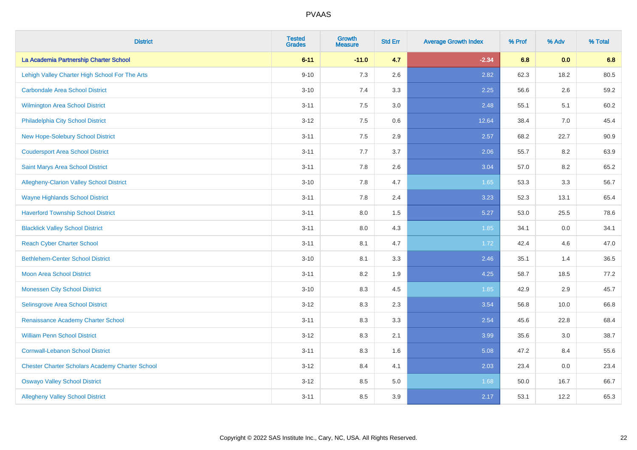| <b>District</b>                                        | <b>Tested</b><br><b>Grades</b> | <b>Growth</b><br><b>Measure</b> | <b>Std Err</b> | <b>Average Growth Index</b> | % Prof | % Adv | % Total |
|--------------------------------------------------------|--------------------------------|---------------------------------|----------------|-----------------------------|--------|-------|---------|
| La Academia Partnership Charter School                 | $6 - 11$                       | $-11.0$                         | 4.7            | $-2.34$                     | 6.8    | 0.0   | 6.8     |
| Lehigh Valley Charter High School For The Arts         | $9 - 10$                       | 7.3                             | 2.6            | 2.82                        | 62.3   | 18.2  | 80.5    |
| <b>Carbondale Area School District</b>                 | $3 - 10$                       | 7.4                             | 3.3            | 2.25                        | 56.6   | 2.6   | 59.2    |
| <b>Wilmington Area School District</b>                 | $3 - 11$                       | 7.5                             | 3.0            | 2.48                        | 55.1   | 5.1   | 60.2    |
| Philadelphia City School District                      | $3 - 12$                       | 7.5                             | 0.6            | 12.64                       | 38.4   | 7.0   | 45.4    |
| New Hope-Solebury School District                      | $3 - 11$                       | 7.5                             | 2.9            | 2.57                        | 68.2   | 22.7  | 90.9    |
| <b>Coudersport Area School District</b>                | $3 - 11$                       | 7.7                             | 3.7            | 2.06                        | 55.7   | 8.2   | 63.9    |
| Saint Marys Area School District                       | $3 - 11$                       | 7.8                             | 2.6            | 3.04                        | 57.0   | 8.2   | 65.2    |
| Allegheny-Clarion Valley School District               | $3 - 10$                       | 7.8                             | 4.7            | 1.65                        | 53.3   | 3.3   | 56.7    |
| <b>Wayne Highlands School District</b>                 | $3 - 11$                       | 7.8                             | 2.4            | 3.23                        | 52.3   | 13.1  | 65.4    |
| <b>Haverford Township School District</b>              | $3 - 11$                       | 8.0                             | 1.5            | 5.27                        | 53.0   | 25.5  | 78.6    |
| <b>Blacklick Valley School District</b>                | $3 - 11$                       | 8.0                             | 4.3            | 1.85                        | 34.1   | 0.0   | 34.1    |
| <b>Reach Cyber Charter School</b>                      | $3 - 11$                       | 8.1                             | 4.7            | 1.72                        | 42.4   | 4.6   | 47.0    |
| <b>Bethlehem-Center School District</b>                | $3 - 10$                       | 8.1                             | 3.3            | 2.46                        | 35.1   | 1.4   | 36.5    |
| <b>Moon Area School District</b>                       | $3 - 11$                       | 8.2                             | 1.9            | 4.25                        | 58.7   | 18.5  | 77.2    |
| <b>Monessen City School District</b>                   | $3 - 10$                       | 8.3                             | 4.5            | 1.85                        | 42.9   | 2.9   | 45.7    |
| Selinsgrove Area School District                       | $3 - 12$                       | 8.3                             | 2.3            | 3.54                        | 56.8   | 10.0  | 66.8    |
| Renaissance Academy Charter School                     | $3 - 11$                       | 8.3                             | 3.3            | 2.54                        | 45.6   | 22.8  | 68.4    |
| <b>William Penn School District</b>                    | $3 - 12$                       | 8.3                             | 2.1            | 3.99                        | 35.6   | 3.0   | 38.7    |
| <b>Cornwall-Lebanon School District</b>                | $3 - 11$                       | 8.3                             | 1.6            | 5.08                        | 47.2   | 8.4   | 55.6    |
| <b>Chester Charter Scholars Academy Charter School</b> | $3 - 12$                       | 8.4                             | 4.1            | 2.03                        | 23.4   | 0.0   | 23.4    |
| <b>Oswayo Valley School District</b>                   | $3 - 12$                       | 8.5                             | 5.0            | 1.68                        | 50.0   | 16.7  | 66.7    |
| <b>Allegheny Valley School District</b>                | $3 - 11$                       | 8.5                             | 3.9            | 2.17                        | 53.1   | 12.2  | 65.3    |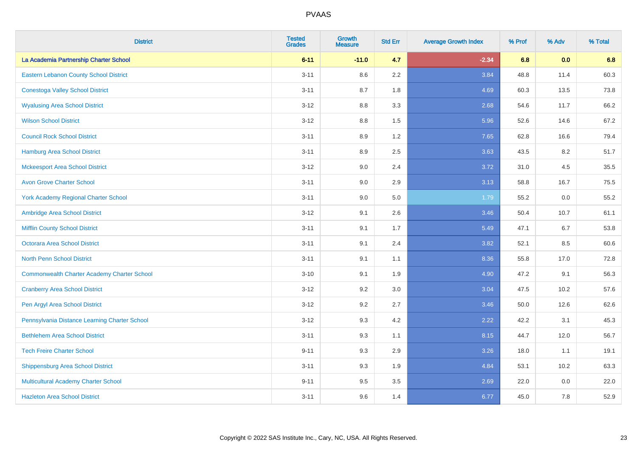| <b>District</b>                                    | <b>Tested</b><br><b>Grades</b> | <b>Growth</b><br><b>Measure</b> | <b>Std Err</b> | <b>Average Growth Index</b> | % Prof | % Adv | % Total |
|----------------------------------------------------|--------------------------------|---------------------------------|----------------|-----------------------------|--------|-------|---------|
| La Academia Partnership Charter School             | $6 - 11$                       | $-11.0$                         | 4.7            | $-2.34$                     | 6.8    | 0.0   | 6.8     |
| Eastern Lebanon County School District             | $3 - 11$                       | 8.6                             | 2.2            | 3.84                        | 48.8   | 11.4  | 60.3    |
| <b>Conestoga Valley School District</b>            | $3 - 11$                       | 8.7                             | 1.8            | 4.69                        | 60.3   | 13.5  | 73.8    |
| <b>Wyalusing Area School District</b>              | $3 - 12$                       | 8.8                             | 3.3            | 2.68                        | 54.6   | 11.7  | 66.2    |
| <b>Wilson School District</b>                      | $3 - 12$                       | 8.8                             | 1.5            | 5.96                        | 52.6   | 14.6  | 67.2    |
| <b>Council Rock School District</b>                | $3 - 11$                       | 8.9                             | 1.2            | 7.65                        | 62.8   | 16.6  | 79.4    |
| <b>Hamburg Area School District</b>                | $3 - 11$                       | 8.9                             | 2.5            | 3.63                        | 43.5   | 8.2   | 51.7    |
| <b>Mckeesport Area School District</b>             | $3 - 12$                       | 9.0                             | 2.4            | 3.72                        | 31.0   | 4.5   | 35.5    |
| <b>Avon Grove Charter School</b>                   | $3 - 11$                       | 9.0                             | 2.9            | 3.13                        | 58.8   | 16.7  | 75.5    |
| <b>York Academy Regional Charter School</b>        | $3 - 11$                       | 9.0                             | 5.0            | 1.79                        | 55.2   | 0.0   | 55.2    |
| Ambridge Area School District                      | $3 - 12$                       | 9.1                             | 2.6            | 3.46                        | 50.4   | 10.7  | 61.1    |
| <b>Mifflin County School District</b>              | $3 - 11$                       | 9.1                             | 1.7            | 5.49                        | 47.1   | 6.7   | 53.8    |
| <b>Octorara Area School District</b>               | $3 - 11$                       | 9.1                             | 2.4            | 3.82                        | 52.1   | 8.5   | 60.6    |
| <b>North Penn School District</b>                  | $3 - 11$                       | 9.1                             | 1.1            | 8.36                        | 55.8   | 17.0  | 72.8    |
| <b>Commonwealth Charter Academy Charter School</b> | $3 - 10$                       | 9.1                             | 1.9            | 4.90                        | 47.2   | 9.1   | 56.3    |
| <b>Cranberry Area School District</b>              | $3 - 12$                       | 9.2                             | 3.0            | 3.04                        | 47.5   | 10.2  | 57.6    |
| Pen Argyl Area School District                     | $3 - 12$                       | 9.2                             | 2.7            | 3.46                        | 50.0   | 12.6  | 62.6    |
| Pennsylvania Distance Learning Charter School      | $3 - 12$                       | 9.3                             | 4.2            | 2.22                        | 42.2   | 3.1   | 45.3    |
| <b>Bethlehem Area School District</b>              | $3 - 11$                       | 9.3                             | 1.1            | 8.15                        | 44.7   | 12.0  | 56.7    |
| <b>Tech Freire Charter School</b>                  | $9 - 11$                       | 9.3                             | 2.9            | 3.26                        | 18.0   | 1.1   | 19.1    |
| <b>Shippensburg Area School District</b>           | $3 - 11$                       | 9.3                             | 1.9            | 4.84                        | 53.1   | 10.2  | 63.3    |
| Multicultural Academy Charter School               | $9 - 11$                       | 9.5                             | 3.5            | 2.69                        | 22.0   | 0.0   | 22.0    |
| <b>Hazleton Area School District</b>               | $3 - 11$                       | 9.6                             | 1.4            | 6.77                        | 45.0   | 7.8   | 52.9    |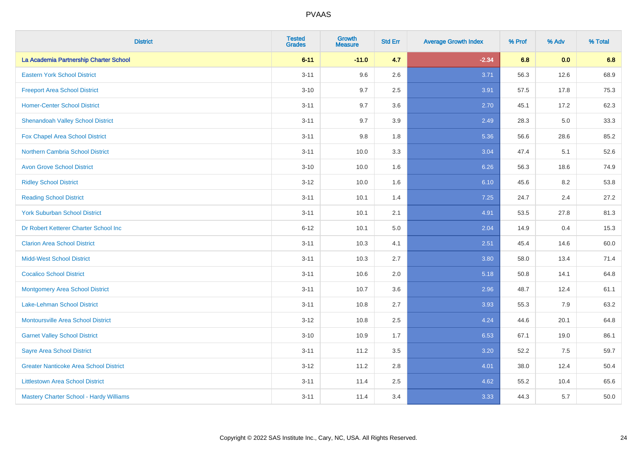| <b>District</b>                               | <b>Tested</b><br><b>Grades</b> | <b>Growth</b><br><b>Measure</b> | <b>Std Err</b> | <b>Average Growth Index</b> | % Prof | % Adv | % Total |
|-----------------------------------------------|--------------------------------|---------------------------------|----------------|-----------------------------|--------|-------|---------|
| La Academia Partnership Charter School        | $6 - 11$                       | $-11.0$                         | 4.7            | $-2.34$                     | 6.8    | 0.0   | 6.8     |
| <b>Eastern York School District</b>           | $3 - 11$                       | 9.6                             | 2.6            | 3.71                        | 56.3   | 12.6  | 68.9    |
| <b>Freeport Area School District</b>          | $3 - 10$                       | 9.7                             | 2.5            | 3.91                        | 57.5   | 17.8  | 75.3    |
| <b>Homer-Center School District</b>           | $3 - 11$                       | 9.7                             | 3.6            | 2.70                        | 45.1   | 17.2  | 62.3    |
| <b>Shenandoah Valley School District</b>      | $3 - 11$                       | 9.7                             | 3.9            | 2.49                        | 28.3   | 5.0   | 33.3    |
| Fox Chapel Area School District               | $3 - 11$                       | 9.8                             | 1.8            | 5.36                        | 56.6   | 28.6  | 85.2    |
| <b>Northern Cambria School District</b>       | $3 - 11$                       | 10.0                            | 3.3            | 3.04                        | 47.4   | 5.1   | 52.6    |
| <b>Avon Grove School District</b>             | $3 - 10$                       | 10.0                            | 1.6            | 6.26                        | 56.3   | 18.6  | 74.9    |
| <b>Ridley School District</b>                 | $3 - 12$                       | 10.0                            | 1.6            | 6.10                        | 45.6   | 8.2   | 53.8    |
| <b>Reading School District</b>                | $3 - 11$                       | 10.1                            | 1.4            | 7.25                        | 24.7   | 2.4   | 27.2    |
| <b>York Suburban School District</b>          | $3 - 11$                       | 10.1                            | 2.1            | 4.91                        | 53.5   | 27.8  | 81.3    |
| Dr Robert Ketterer Charter School Inc         | $6 - 12$                       | 10.1                            | 5.0            | 2.04                        | 14.9   | 0.4   | 15.3    |
| <b>Clarion Area School District</b>           | $3 - 11$                       | 10.3                            | 4.1            | 2.51                        | 45.4   | 14.6  | 60.0    |
| <b>Midd-West School District</b>              | $3 - 11$                       | 10.3                            | 2.7            | 3.80                        | 58.0   | 13.4  | 71.4    |
| <b>Cocalico School District</b>               | $3 - 11$                       | 10.6                            | 2.0            | 5.18                        | 50.8   | 14.1  | 64.8    |
| <b>Montgomery Area School District</b>        | $3 - 11$                       | 10.7                            | 3.6            | 2.96                        | 48.7   | 12.4  | 61.1    |
| Lake-Lehman School District                   | $3 - 11$                       | 10.8                            | 2.7            | 3.93                        | 55.3   | 7.9   | 63.2    |
| Montoursville Area School District            | $3 - 12$                       | 10.8                            | 2.5            | 4.24                        | 44.6   | 20.1  | 64.8    |
| <b>Garnet Valley School District</b>          | $3 - 10$                       | 10.9                            | 1.7            | 6.53                        | 67.1   | 19.0  | 86.1    |
| <b>Sayre Area School District</b>             | $3 - 11$                       | 11.2                            | 3.5            | 3.20                        | 52.2   | 7.5   | 59.7    |
| <b>Greater Nanticoke Area School District</b> | $3 - 12$                       | 11.2                            | 2.8            | 4.01                        | 38.0   | 12.4  | 50.4    |
| <b>Littlestown Area School District</b>       | $3 - 11$                       | 11.4                            | 2.5            | 4.62                        | 55.2   | 10.4  | 65.6    |
| Mastery Charter School - Hardy Williams       | $3 - 11$                       | 11.4                            | 3.4            | 3.33                        | 44.3   | 5.7   | 50.0    |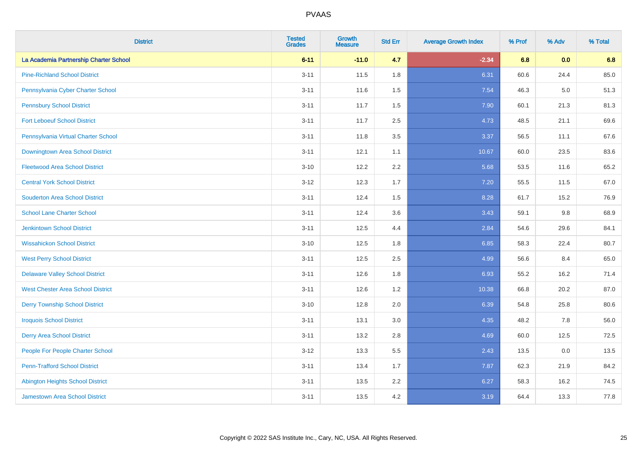| <b>District</b>                          | <b>Tested</b><br><b>Grades</b> | <b>Growth</b><br><b>Measure</b> | <b>Std Err</b> | <b>Average Growth Index</b> | % Prof | % Adv | % Total |
|------------------------------------------|--------------------------------|---------------------------------|----------------|-----------------------------|--------|-------|---------|
| La Academia Partnership Charter School   | $6 - 11$                       | $-11.0$                         | 4.7            | $-2.34$                     | 6.8    | 0.0   | 6.8     |
| <b>Pine-Richland School District</b>     | $3 - 11$                       | 11.5                            | 1.8            | 6.31                        | 60.6   | 24.4  | 85.0    |
| Pennsylvania Cyber Charter School        | $3 - 11$                       | 11.6                            | 1.5            | 7.54                        | 46.3   | 5.0   | 51.3    |
| <b>Pennsbury School District</b>         | $3 - 11$                       | 11.7                            | 1.5            | 7.90                        | 60.1   | 21.3  | 81.3    |
| <b>Fort Leboeuf School District</b>      | $3 - 11$                       | 11.7                            | 2.5            | 4.73                        | 48.5   | 21.1  | 69.6    |
| Pennsylvania Virtual Charter School      | $3 - 11$                       | 11.8                            | 3.5            | 3.37                        | 56.5   | 11.1  | 67.6    |
| Downingtown Area School District         | $3 - 11$                       | 12.1                            | 1.1            | 10.67                       | 60.0   | 23.5  | 83.6    |
| <b>Fleetwood Area School District</b>    | $3 - 10$                       | 12.2                            | 2.2            | 5.68                        | 53.5   | 11.6  | 65.2    |
| <b>Central York School District</b>      | $3 - 12$                       | 12.3                            | 1.7            | 7.20                        | 55.5   | 11.5  | 67.0    |
| <b>Souderton Area School District</b>    | $3 - 11$                       | 12.4                            | 1.5            | 8.28                        | 61.7   | 15.2  | 76.9    |
| <b>School Lane Charter School</b>        | $3 - 11$                       | 12.4                            | 3.6            | 3.43                        | 59.1   | 9.8   | 68.9    |
| <b>Jenkintown School District</b>        | $3 - 11$                       | 12.5                            | 4.4            | 2.84                        | 54.6   | 29.6  | 84.1    |
| <b>Wissahickon School District</b>       | $3 - 10$                       | 12.5                            | 1.8            | 6.85                        | 58.3   | 22.4  | 80.7    |
| <b>West Perry School District</b>        | $3 - 11$                       | 12.5                            | 2.5            | 4.99                        | 56.6   | 8.4   | 65.0    |
| <b>Delaware Valley School District</b>   | $3 - 11$                       | 12.6                            | 1.8            | 6.93                        | 55.2   | 16.2  | 71.4    |
| <b>West Chester Area School District</b> | $3 - 11$                       | 12.6                            | 1.2            | 10.38                       | 66.8   | 20.2  | 87.0    |
| <b>Derry Township School District</b>    | $3 - 10$                       | 12.8                            | 2.0            | 6.39                        | 54.8   | 25.8  | 80.6    |
| <b>Iroquois School District</b>          | $3 - 11$                       | 13.1                            | 3.0            | 4.35                        | 48.2   | 7.8   | 56.0    |
| <b>Derry Area School District</b>        | $3 - 11$                       | 13.2                            | 2.8            | 4.69                        | 60.0   | 12.5  | 72.5    |
| People For People Charter School         | $3 - 12$                       | 13.3                            | 5.5            | 2.43                        | 13.5   | 0.0   | 13.5    |
| <b>Penn-Trafford School District</b>     | $3 - 11$                       | 13.4                            | 1.7            | 7.87                        | 62.3   | 21.9  | 84.2    |
| <b>Abington Heights School District</b>  | $3 - 11$                       | 13.5                            | 2.2            | 6.27                        | 58.3   | 16.2  | 74.5    |
| <b>Jamestown Area School District</b>    | $3 - 11$                       | 13.5                            | 4.2            | 3.19                        | 64.4   | 13.3  | 77.8    |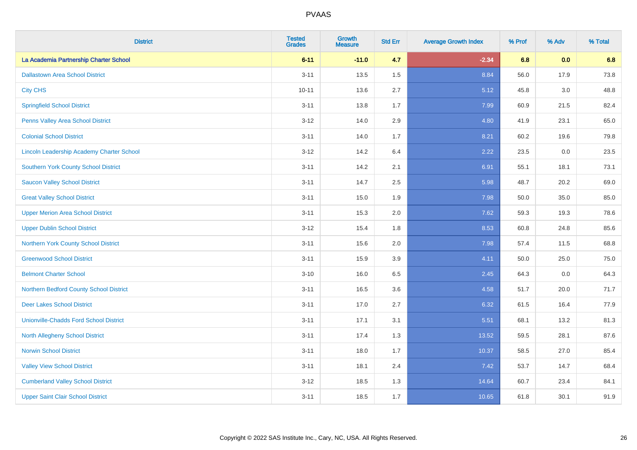| <b>District</b>                               | <b>Tested</b><br><b>Grades</b> | <b>Growth</b><br><b>Measure</b> | <b>Std Err</b> | <b>Average Growth Index</b> | % Prof | % Adv | % Total |
|-----------------------------------------------|--------------------------------|---------------------------------|----------------|-----------------------------|--------|-------|---------|
| La Academia Partnership Charter School        | $6 - 11$                       | $-11.0$                         | 4.7            | $-2.34$                     | 6.8    | 0.0   | 6.8     |
| <b>Dallastown Area School District</b>        | $3 - 11$                       | 13.5                            | 1.5            | 8.84                        | 56.0   | 17.9  | 73.8    |
| <b>City CHS</b>                               | $10 - 11$                      | 13.6                            | 2.7            | 5.12                        | 45.8   | 3.0   | 48.8    |
| <b>Springfield School District</b>            | $3 - 11$                       | 13.8                            | 1.7            | 7.99                        | 60.9   | 21.5  | 82.4    |
| Penns Valley Area School District             | $3 - 12$                       | 14.0                            | 2.9            | 4.80                        | 41.9   | 23.1  | 65.0    |
| <b>Colonial School District</b>               | $3 - 11$                       | 14.0                            | 1.7            | 8.21                        | 60.2   | 19.6  | 79.8    |
| Lincoln Leadership Academy Charter School     | $3 - 12$                       | 14.2                            | 6.4            | 2.22                        | 23.5   | 0.0   | 23.5    |
| <b>Southern York County School District</b>   | $3 - 11$                       | 14.2                            | 2.1            | 6.91                        | 55.1   | 18.1  | 73.1    |
| <b>Saucon Valley School District</b>          | $3 - 11$                       | 14.7                            | 2.5            | 5.98                        | 48.7   | 20.2  | 69.0    |
| <b>Great Valley School District</b>           | $3 - 11$                       | 15.0                            | 1.9            | 7.98                        | 50.0   | 35.0  | 85.0    |
| <b>Upper Merion Area School District</b>      | $3 - 11$                       | 15.3                            | 2.0            | 7.62                        | 59.3   | 19.3  | 78.6    |
| <b>Upper Dublin School District</b>           | $3 - 12$                       | 15.4                            | 1.8            | 8.53                        | 60.8   | 24.8  | 85.6    |
| <b>Northern York County School District</b>   | $3 - 11$                       | 15.6                            | 2.0            | 7.98                        | 57.4   | 11.5  | 68.8    |
| <b>Greenwood School District</b>              | $3 - 11$                       | 15.9                            | 3.9            | 4.11                        | 50.0   | 25.0  | 75.0    |
| <b>Belmont Charter School</b>                 | $3 - 10$                       | 16.0                            | 6.5            | 2.45                        | 64.3   | 0.0   | 64.3    |
| Northern Bedford County School District       | $3 - 11$                       | 16.5                            | 3.6            | 4.58                        | 51.7   | 20.0  | 71.7    |
| <b>Deer Lakes School District</b>             | $3 - 11$                       | 17.0                            | 2.7            | 6.32                        | 61.5   | 16.4  | 77.9    |
| <b>Unionville-Chadds Ford School District</b> | $3 - 11$                       | 17.1                            | 3.1            | 5.51                        | 68.1   | 13.2  | 81.3    |
| <b>North Allegheny School District</b>        | $3 - 11$                       | 17.4                            | 1.3            | 13.52                       | 59.5   | 28.1  | 87.6    |
| <b>Norwin School District</b>                 | $3 - 11$                       | 18.0                            | 1.7            | 10.37                       | 58.5   | 27.0  | 85.4    |
| <b>Valley View School District</b>            | $3 - 11$                       | 18.1                            | 2.4            | 7.42                        | 53.7   | 14.7  | 68.4    |
| <b>Cumberland Valley School District</b>      | $3 - 12$                       | 18.5                            | 1.3            | 14.64                       | 60.7   | 23.4  | 84.1    |
| <b>Upper Saint Clair School District</b>      | $3 - 11$                       | 18.5                            | 1.7            | 10.65                       | 61.8   | 30.1  | 91.9    |